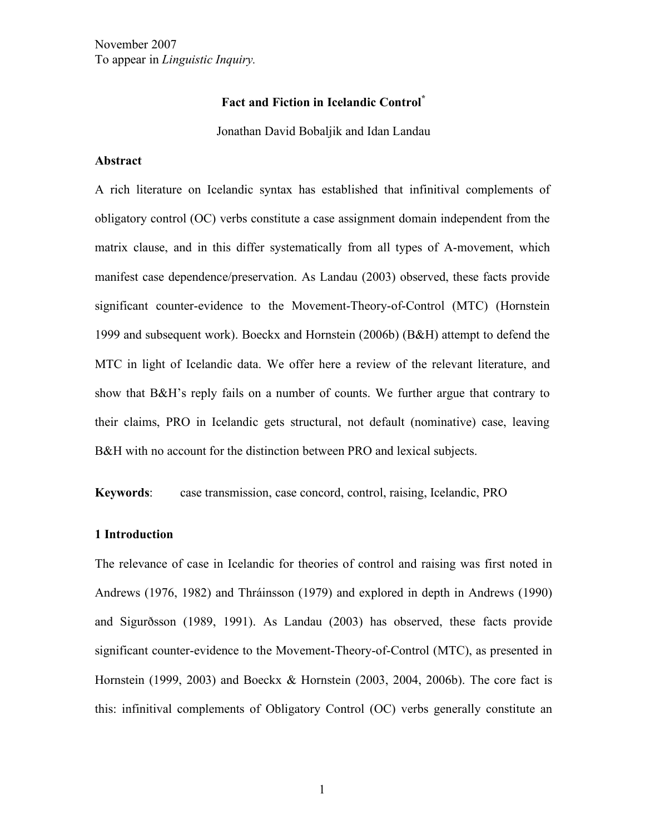November 2007 To appear in *Linguistic Inquiry.*

# **Fact and Fiction in Icelandic Control\***

Jonathan David Bobaljik and Idan Landau

## **Abstract**

A rich literature on Icelandic syntax has established that infinitival complements of obligatory control (OC) verbs constitute a case assignment domain independent from the matrix clause, and in this differ systematically from all types of A-movement, which manifest case dependence/preservation. As Landau (2003) observed, these facts provide significant counter-evidence to the Movement-Theory-of-Control (MTC) (Hornstein 1999 and subsequent work). Boeckx and Hornstein (2006b) (B&H) attempt to defend the MTC in light of Icelandic data. We offer here a review of the relevant literature, and show that B&H's reply fails on a number of counts. We further argue that contrary to their claims, PRO in Icelandic gets structural, not default (nominative) case, leaving B&H with no account for the distinction between PRO and lexical subjects.

**Keywords**: case transmission, case concord, control, raising, Icelandic, PRO

## **1 Introduction**

The relevance of case in Icelandic for theories of control and raising was first noted in Andrews (1976, 1982) and Thráinsson (1979) and explored in depth in Andrews (1990) and Sigurðsson (1989, 1991). As Landau (2003) has observed, these facts provide significant counter-evidence to the Movement-Theory-of-Control (MTC), as presented in Hornstein (1999, 2003) and Boeckx & Hornstein (2003, 2004, 2006b). The core fact is this: infinitival complements of Obligatory Control (OC) verbs generally constitute an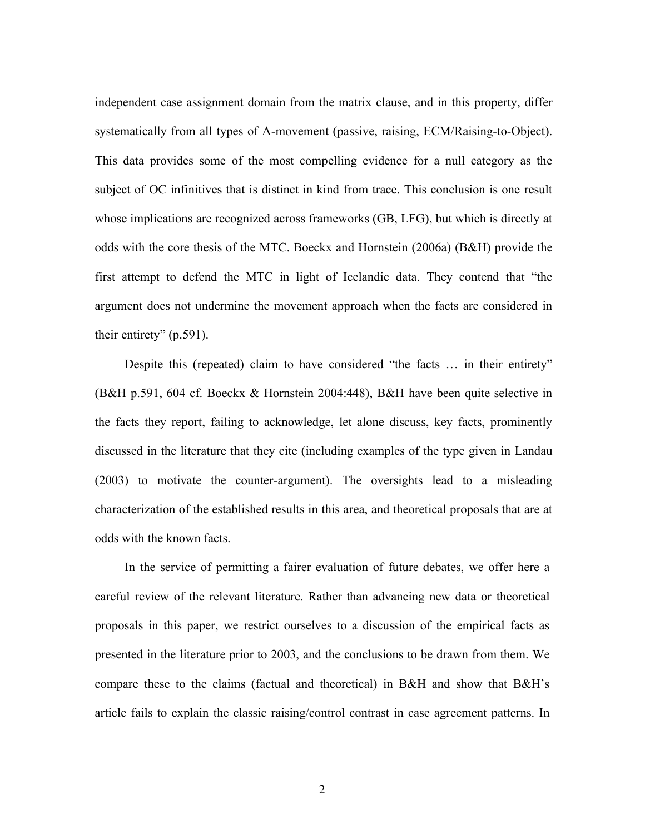independent case assignment domain from the matrix clause, and in this property, differ systematically from all types of A-movement (passive, raising, ECM/Raising-to-Object). This data provides some of the most compelling evidence for a null category as the subject of OC infinitives that is distinct in kind from trace. This conclusion is one result whose implications are recognized across frameworks (GB, LFG), but which is directly at odds with the core thesis of the MTC. Boeckx and Hornstein (2006a) (B&H) provide the first attempt to defend the MTC in light of Icelandic data. They contend that "the argument does not undermine the movement approach when the facts are considered in their entirety" (p.591).

Despite this (repeated) claim to have considered "the facts … in their entirety" (B&H p.591, 604 cf. Boeckx & Hornstein 2004:448), B&H have been quite selective in the facts they report, failing to acknowledge, let alone discuss, key facts, prominently discussed in the literature that they cite (including examples of the type given in Landau (2003) to motivate the counter-argument). The oversights lead to a misleading characterization of the established results in this area, and theoretical proposals that are at odds with the known facts.

In the service of permitting a fairer evaluation of future debates, we offer here a careful review of the relevant literature. Rather than advancing new data or theoretical proposals in this paper, we restrict ourselves to a discussion of the empirical facts as presented in the literature prior to 2003, and the conclusions to be drawn from them. We compare these to the claims (factual and theoretical) in B&H and show that B&H's article fails to explain the classic raising/control contrast in case agreement patterns. In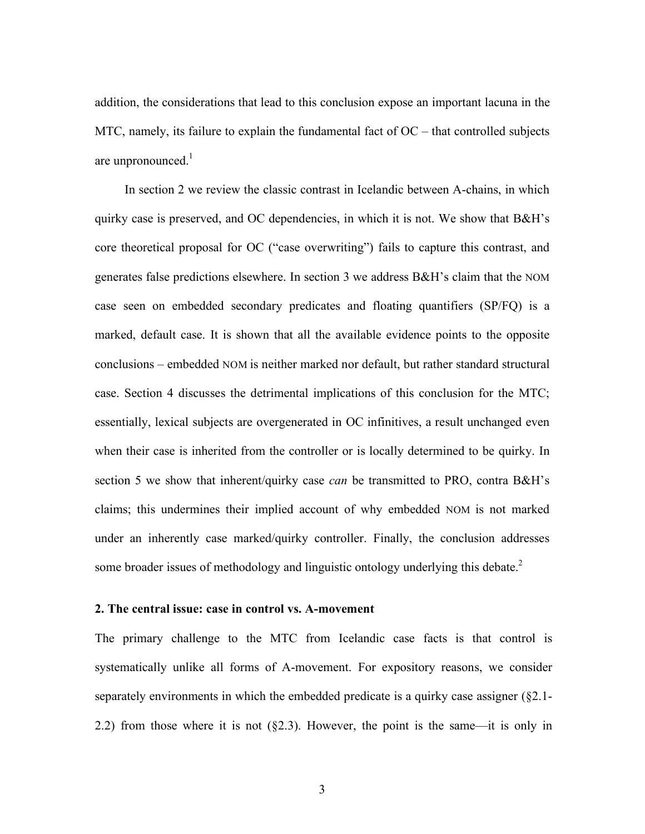addition, the considerations that lead to this conclusion expose an important lacuna in the MTC, namely, its failure to explain the fundamental fact of  $OC$  – that controlled subjects are unpronounced. $<sup>1</sup>$ </sup>

In section 2 we review the classic contrast in Icelandic between A-chains, in which quirky case is preserved, and OC dependencies, in which it is not. We show that B&H's core theoretical proposal for OC ("case overwriting") fails to capture this contrast, and generates false predictions elsewhere. In section 3 we address B&H's claim that the NOM case seen on embedded secondary predicates and floating quantifiers (SP/FQ) is a marked, default case. It is shown that all the available evidence points to the opposite conclusions – embedded NOM is neither marked nor default, but rather standard structural case. Section 4 discusses the detrimental implications of this conclusion for the MTC; essentially, lexical subjects are overgenerated in OC infinitives, a result unchanged even when their case is inherited from the controller or is locally determined to be quirky. In section 5 we show that inherent/quirky case *can* be transmitted to PRO, contra B&H's claims; this undermines their implied account of why embedded NOM is not marked under an inherently case marked/quirky controller. Finally, the conclusion addresses some broader issues of methodology and linguistic ontology underlying this debate.<sup>2</sup>

## **2. The central issue: case in control vs. A-movement**

The primary challenge to the MTC from Icelandic case facts is that control is systematically unlike all forms of A-movement. For expository reasons, we consider separately environments in which the embedded predicate is a quirky case assigner (§2.1- 2.2) from those where it is not  $(\S 2.3)$ . However, the point is the same—it is only in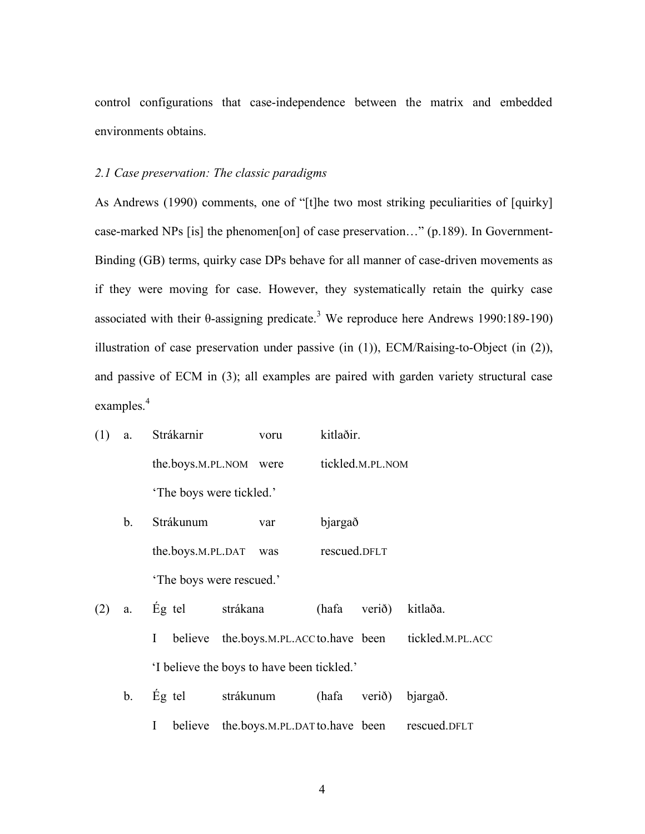control configurations that case-independence between the matrix and embedded environments obtains.

#### *2.1 Case preservation: The classic paradigms*

As Andrews (1990) comments, one of "[t]he two most striking peculiarities of [quirky] case-marked NPs [is] the phenomen[on] of case preservation…" (p.189). In Government-Binding (GB) terms, quirky case DPs behave for all manner of case-driven movements as if they were moving for case. However, they systematically retain the quirky case associated with their  $\theta$ -assigning predicate.<sup>3</sup> We reproduce here Andrews 1990:189-190) illustration of case preservation under passive (in (1)), ECM/Raising-to-Object (in (2)), and passive of ECM in (3); all examples are paired with garden variety structural case examples.<sup>4</sup>

|  | (1) a. Strákarnir      | voru                     | kitlaðir.        |  |  |
|--|------------------------|--------------------------|------------------|--|--|
|  | the.boys.m.PL.NOM were |                          | tickled.M.PL.NOM |  |  |
|  |                        | 'The boys were tickled.' |                  |  |  |

| h | Strákunum                | var | bjargað      |  |
|---|--------------------------|-----|--------------|--|
|   | the.boys.M.PL.DAT        | was | rescued.DFLT |  |
|   | 'The boys were rescued.' |     |              |  |

| $(2)$ a. Eg tel                           |  |  | strákana                                                  |  | (hafa verið) kitlaða. |  |
|-------------------------------------------|--|--|-----------------------------------------------------------|--|-----------------------|--|
|                                           |  |  | I believe the boys.M.PL.ACC to have been tickled.M.PL.ACC |  |                       |  |
| I believe the boys to have been tickled.' |  |  |                                                           |  |                       |  |

|  | b. $E_g$ tel | strákunum                                             |  | (hafa verið) bjargað. |  |
|--|--------------|-------------------------------------------------------|--|-----------------------|--|
|  |              | I believe the.boys.M.PL.DAT to.have been rescued.DFLT |  |                       |  |

4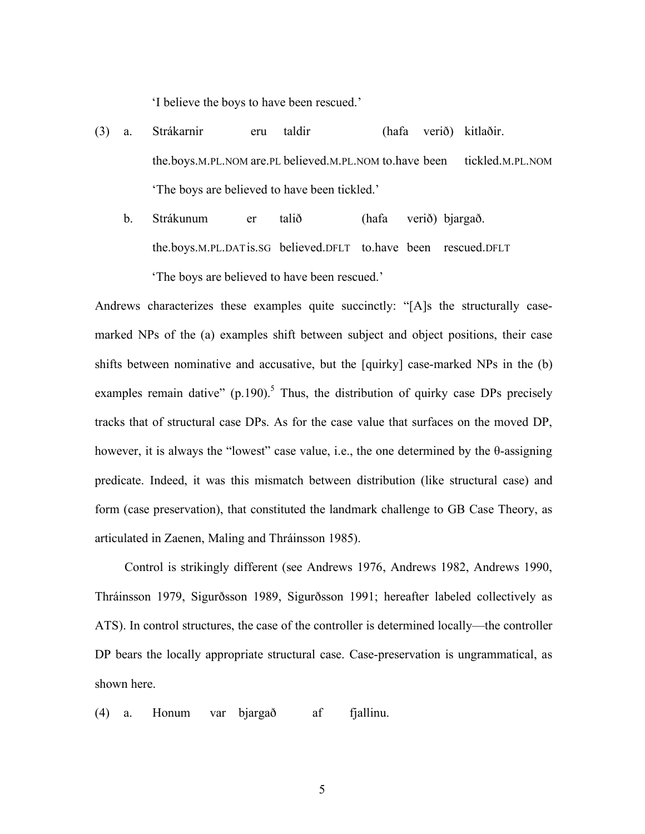'I believe the boys to have been rescued.'

- (3) a. Strákarnir eru taldir (hafa verið) kitlaðir. the.boys.M.PL.NOM are.PL believed.M.PL.NOM to.have been tickled.M.PL.NOM 'The boys are believed to have been tickled.'
	- b. Strákunum er talið (hafa verið) bjargað. the.boys.M.PL.DATis.SG believed.DFLT to.have been rescued.DFLT 'The boys are believed to have been rescued.'

Andrews characterizes these examples quite succinctly: "[A]s the structurally casemarked NPs of the (a) examples shift between subject and object positions, their case shifts between nominative and accusative, but the [quirky] case-marked NPs in the (b) examples remain dative" (p.190).<sup>5</sup> Thus, the distribution of quirky case DPs precisely tracks that of structural case DPs. As for the case value that surfaces on the moved DP, however, it is always the "lowest" case value, i.e., the one determined by the θ-assigning predicate. Indeed, it was this mismatch between distribution (like structural case) and form (case preservation), that constituted the landmark challenge to GB Case Theory, as articulated in Zaenen, Maling and Thráinsson 1985).

Control is strikingly different (see Andrews 1976, Andrews 1982, Andrews 1990, Thráinsson 1979, Sigurðsson 1989, Sigurðsson 1991; hereafter labeled collectively as ATS). In control structures, the case of the controller is determined locally—the controller DP bears the locally appropriate structural case. Case-preservation is ungrammatical, as shown here.

(4) a. Honum var bjargað af fjallinu.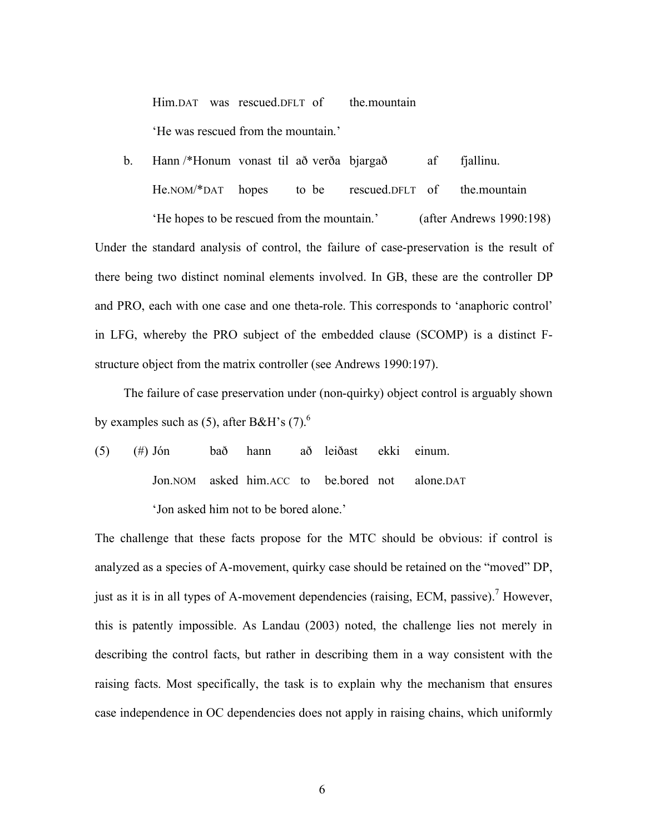Him.DAT was rescued.DFLT of the.mountain 'He was rescued from the mountain.'

b. Hann /\*Honum vonast til að verða bjargað af fjallinu. He.NOM/\*DAT hopes to be rescued.DFLT of the.mountain

'He hopes to be rescued from the mountain.' (after Andrews 1990:198) Under the standard analysis of control, the failure of case-preservation is the result of there being two distinct nominal elements involved. In GB, these are the controller DP and PRO, each with one case and one theta-role. This corresponds to 'anaphoric control' in LFG, whereby the PRO subject of the embedded clause (SCOMP) is a distinct Fstructure object from the matrix controller (see Andrews 1990:197).

The failure of case preservation under (non-quirky) object control is arguably shown by examples such as (5), after B&H's (7). $^{6}$ 

(5) (#) Jón bað hann að leiðast ekki einum. Jon.NOM asked him.ACC to be.bored not alone.DAT 'Jon asked him not to be bored alone.'

The challenge that these facts propose for the MTC should be obvious: if control is analyzed as a species of A-movement, quirky case should be retained on the "moved" DP, just as it is in all types of A-movement dependencies (raising, ECM, passive).<sup>7</sup> However, this is patently impossible. As Landau (2003) noted, the challenge lies not merely in describing the control facts, but rather in describing them in a way consistent with the raising facts. Most specifically, the task is to explain why the mechanism that ensures case independence in OC dependencies does not apply in raising chains, which uniformly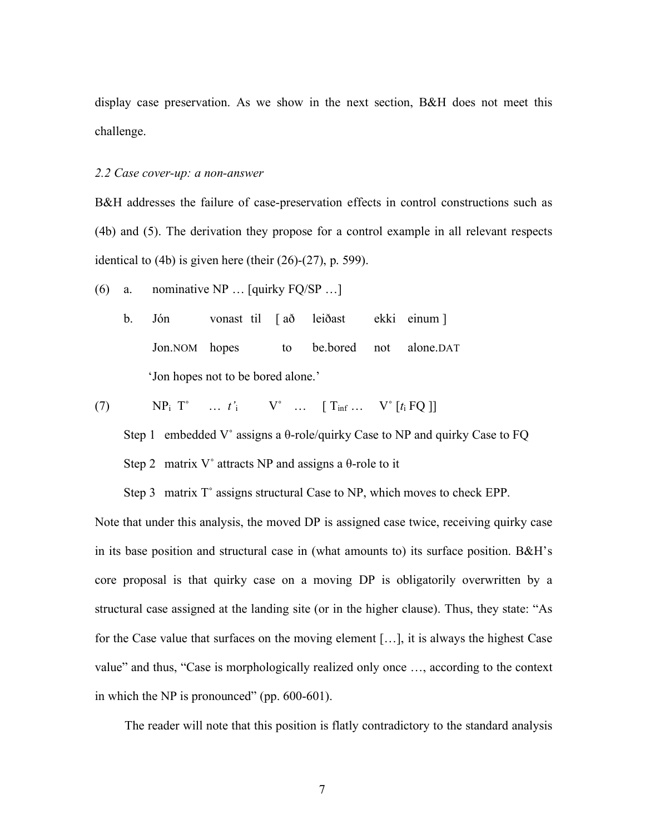display case preservation. As we show in the next section, B&H does not meet this challenge.

#### *2.2 Case cover-up: a non-answer*

B&H addresses the failure of case-preservation effects in control constructions such as (4b) and (5). The derivation they propose for a control example in all relevant respects identical to  $(4b)$  is given here (their  $(26)-(27)$ , p. 599).

- (6) a. nominative NP … [quirky FQ/SP …]
	- b. Jón vonast til [ að leiðast ekki einum ] Jon.NOM hopes to be.bored not alone.DAT 'Jon hopes not to be bored alone.'

$$
(7) \qquad NP_i \qquad \cdots \qquad t'_i \qquad V^{\circ} \qquad \cdots \qquad [T_{\inf} \cdots \qquad V^{\circ} \qquad [t_i \text{ FQ}]]
$$

Step 1 embedded V° assigns a  $\theta$ -role/quirky Case to NP and quirky Case to FQ Step 2 matrix V $\degree$  attracts NP and assigns a  $\theta$ -role to it

Step 3 matrix T° assigns structural Case to NP, which moves to check EPP.

Note that under this analysis, the moved DP is assigned case twice, receiving quirky case in its base position and structural case in (what amounts to) its surface position. B&H's core proposal is that quirky case on a moving DP is obligatorily overwritten by a structural case assigned at the landing site (or in the higher clause). Thus, they state: "As for the Case value that surfaces on the moving element […], it is always the highest Case value" and thus, "Case is morphologically realized only once …, according to the context in which the NP is pronounced" (pp. 600-601).

The reader will note that this position is flatly contradictory to the standard analysis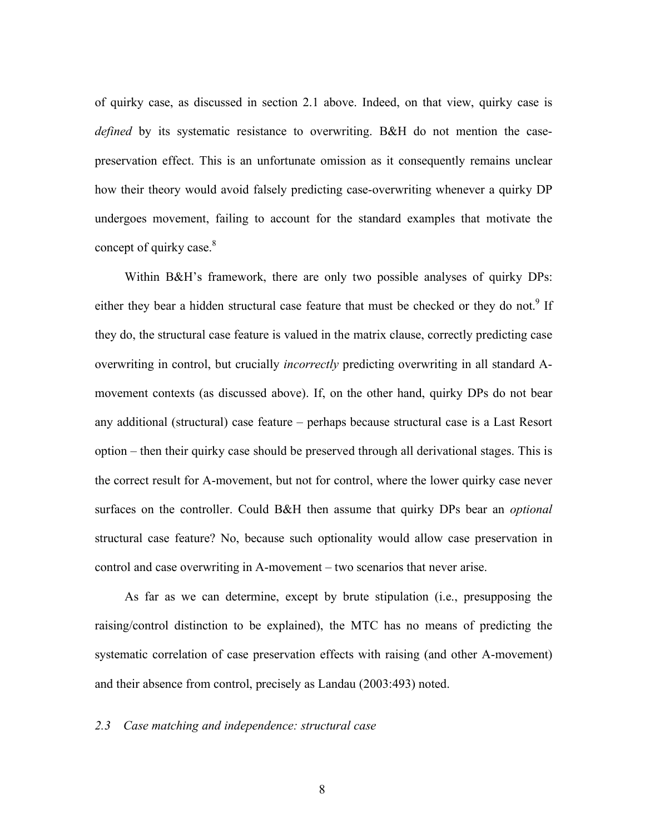of quirky case, as discussed in section 2.1 above. Indeed, on that view, quirky case is *defined* by its systematic resistance to overwriting. B&H do not mention the casepreservation effect. This is an unfortunate omission as it consequently remains unclear how their theory would avoid falsely predicting case-overwriting whenever a quirky DP undergoes movement, failing to account for the standard examples that motivate the concept of quirky case.<sup>8</sup>

Within B&H's framework, there are only two possible analyses of quirky DPs: either they bear a hidden structural case feature that must be checked or they do not.<sup>9</sup> If they do, the structural case feature is valued in the matrix clause, correctly predicting case overwriting in control, but crucially *incorrectly* predicting overwriting in all standard Amovement contexts (as discussed above). If, on the other hand, quirky DPs do not bear any additional (structural) case feature – perhaps because structural case is a Last Resort option – then their quirky case should be preserved through all derivational stages. This is the correct result for A-movement, but not for control, where the lower quirky case never surfaces on the controller. Could B&H then assume that quirky DPs bear an *optional* structural case feature? No, because such optionality would allow case preservation in control and case overwriting in A-movement – two scenarios that never arise.

As far as we can determine, except by brute stipulation (i.e., presupposing the raising/control distinction to be explained), the MTC has no means of predicting the systematic correlation of case preservation effects with raising (and other A-movement) and their absence from control, precisely as Landau (2003:493) noted.

## *2.3 Case matching and independence: structural case*

8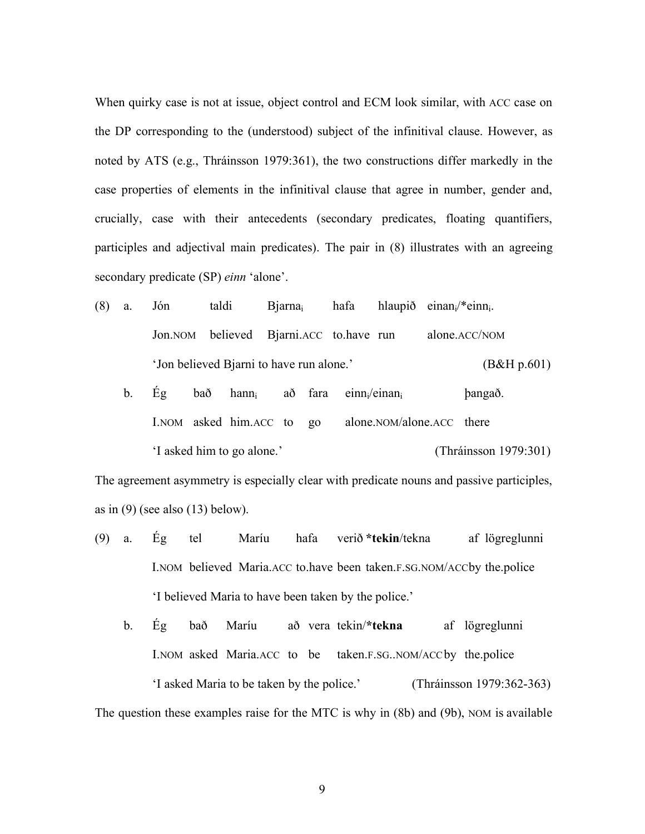When quirky case is not at issue, object control and ECM look similar, with ACC case on the DP corresponding to the (understood) subject of the infinitival clause. However, as noted by ATS (e.g., Thráinsson 1979:361), the two constructions differ markedly in the case properties of elements in the infinitival clause that agree in number, gender and, crucially, case with their antecedents (secondary predicates, floating quantifiers, participles and adjectival main predicates). The pair in (8) illustrates with an agreeing secondary predicate (SP) *einn* 'alone'.

- (8) a. Jón taldi Bjarna<sub>i</sub> hafa hlaupið einan $\psi^*$ einn<sub>i</sub>. Jon.NOM believed Bjarni.ACC to.have run alone.ACC/NOM 'Jon believed Bjarni to have run alone.' (B&H p.601)
	- b. Ég bað hann<sub>i</sub> að fara einn<sub>i</sub>/einan<sub>i</sub> þangað. I.NOM asked him.ACC to go alone.NOM/alone.ACC there 'I asked him to go alone.' (Thráinsson 1979:301)

The agreement asymmetry is especially clear with predicate nouns and passive participles, as in  $(9)$  (see also  $(13)$  below).

- (9) a. Ég tel Maríu hafa verið **\*tekin**/tekna af lögreglunni I.NOM believed Maria.ACC to.have been taken.F.SG.NOM/ACCby the.police 'I believed Maria to have been taken by the police.'
- b. Ég bað Maríu að vera tekin/**\*tekna** af lögreglunni I.NOM asked Maria.ACC to be taken.F.SG..NOM/ACCby the.police 'I asked Maria to be taken by the police.' (Thráinsson 1979:362-363) The question these examples raise for the MTC is why in (8b) and (9b), NOM is available

9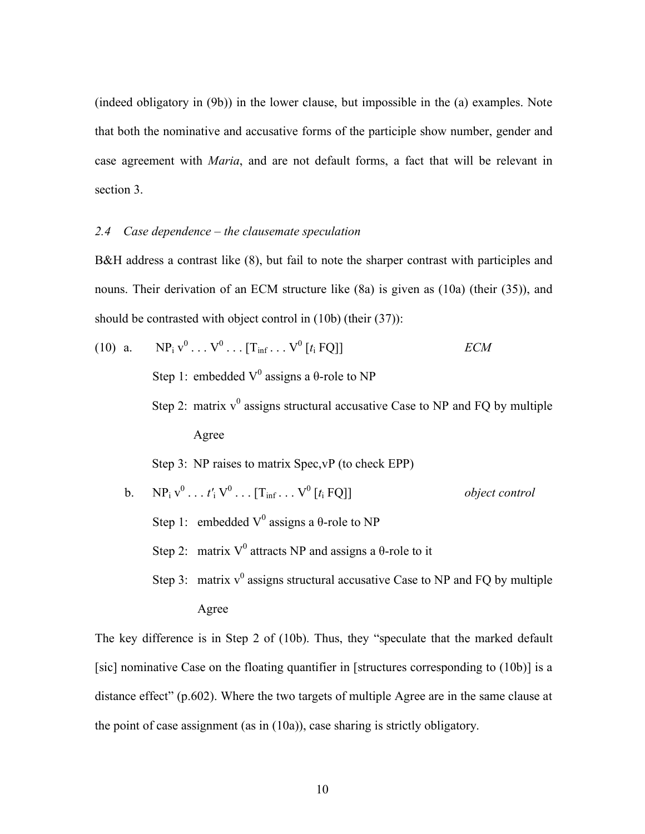(indeed obligatory in (9b)) in the lower clause, but impossible in the (a) examples. Note that both the nominative and accusative forms of the participle show number, gender and case agreement with *Maria*, and are not default forms, a fact that will be relevant in section 3.

## *2.4 Case dependence – the clausemate speculation*

B&H address a contrast like (8), but fail to note the sharper contrast with participles and nouns. Their derivation of an ECM structure like (8a) is given as (10a) (their (35)), and should be contrasted with object control in (10b) (their (37)):

(10) a. NPi v <sup>0</sup> . . . V0 . . . [Tinf . . . V0 [*t*<sup>i</sup> FQ]] *ECM* Step 1: embedded V0 assigns a θ-role to NP Step 2: matrix v <sup>0</sup> assigns structural accusative Case to NP and FQ by multiple Agree Step 3: NP raises to matrix Spec,vP (to check EPP) b. NPi v <sup>0</sup> . . . *t′*<sup>i</sup> V0 . . . [Tinf . . . V0 [*t*<sup>i</sup> FQ]] *object control* Step 1: embedded V0 assigns a θ-role to NP Step 2: matrix V0 attracts NP and assigns a θ-role to it Step 3: matrix v <sup>0</sup> assigns structural accusative Case to NP and FQ by multiple Agree

The key difference is in Step 2 of (10b). Thus, they "speculate that the marked default [sic] nominative Case on the floating quantifier in [structures corresponding to (10b)] is a distance effect" (p.602). Where the two targets of multiple Agree are in the same clause at the point of case assignment (as in (10a)), case sharing is strictly obligatory.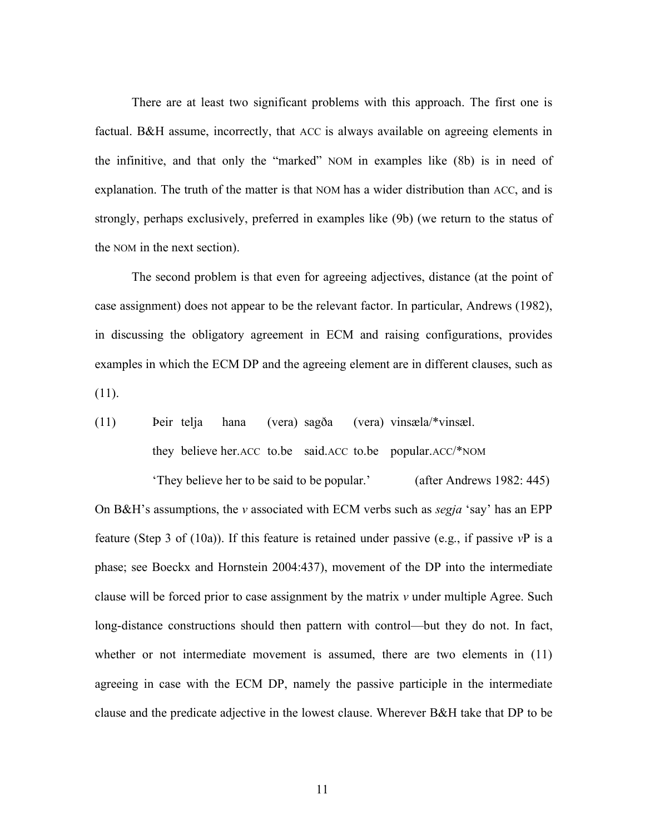There are at least two significant problems with this approach. The first one is factual. B&H assume, incorrectly, that ACC is always available on agreeing elements in the infinitive, and that only the "marked" NOM in examples like (8b) is in need of explanation. The truth of the matter is that NOM has a wider distribution than ACC, and is strongly, perhaps exclusively, preferred in examples like (9b) (we return to the status of the NOM in the next section).

The second problem is that even for agreeing adjectives, distance (at the point of case assignment) does not appear to be the relevant factor. In particular, Andrews (1982), in discussing the obligatory agreement in ECM and raising configurations, provides examples in which the ECM DP and the agreeing element are in different clauses, such as  $(11).$ 

(11) Þeir telja hana (vera) sagða (vera) vinsæla/\*vinsæl. they believe her.ACC to.be said.ACC to.be popular.ACC/\*NOM

'They believe her to be said to be popular.' (after Andrews 1982: 445) On B&H's assumptions, the *v* associated with ECM verbs such as *segja* 'say' has an EPP feature (Step 3 of (10a)). If this feature is retained under passive (e.g., if passive *v*P is a phase; see Boeckx and Hornstein 2004:437), movement of the DP into the intermediate clause will be forced prior to case assignment by the matrix *v* under multiple Agree. Such long-distance constructions should then pattern with control—but they do not. In fact, whether or not intermediate movement is assumed, there are two elements in  $(11)$ agreeing in case with the ECM DP, namely the passive participle in the intermediate clause and the predicate adjective in the lowest clause. Wherever B&H take that DP to be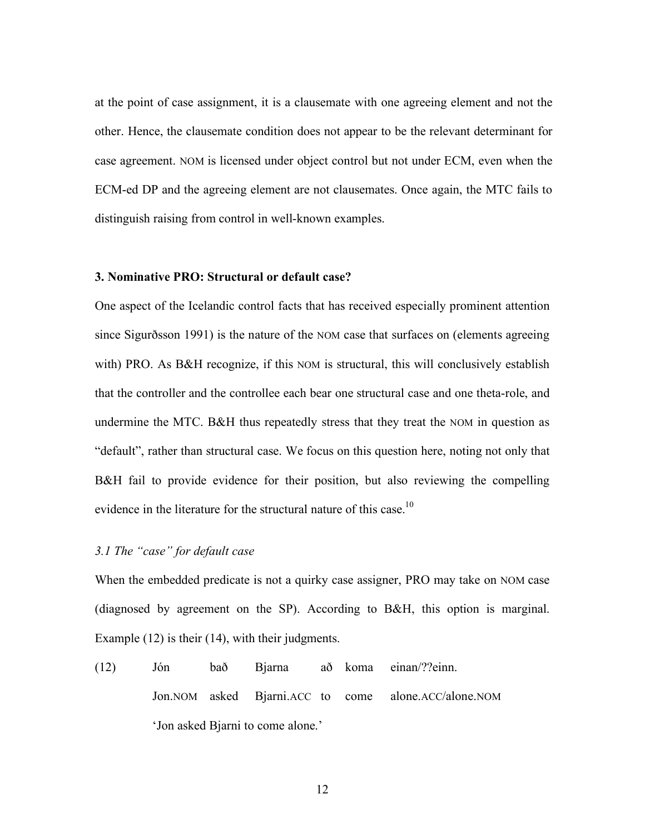at the point of case assignment, it is a clausemate with one agreeing element and not the other. Hence, the clausemate condition does not appear to be the relevant determinant for case agreement. NOM is licensed under object control but not under ECM, even when the ECM-ed DP and the agreeing element are not clausemates. Once again, the MTC fails to distinguish raising from control in well-known examples.

## **3. Nominative PRO: Structural or default case?**

One aspect of the Icelandic control facts that has received especially prominent attention since Sigurðsson 1991) is the nature of the NOM case that surfaces on (elements agreeing with) PRO. As B&H recognize, if this NOM is structural, this will conclusively establish that the controller and the controllee each bear one structural case and one theta-role, and undermine the MTC. B&H thus repeatedly stress that they treat the NOM in question as "default", rather than structural case. We focus on this question here, noting not only that B&H fail to provide evidence for their position, but also reviewing the compelling evidence in the literature for the structural nature of this case.<sup>10</sup>

#### *3.1 The "case" for default case*

When the embedded predicate is not a quirky case assigner, PRO may take on NOM case (diagnosed by agreement on the SP). According to B&H, this option is marginal. Example (12) is their (14), with their judgments.

(12) Jón bað Bjarna að koma einan/??einn. Jon.NOM asked Bjarni.ACC to come alone.ACC/alone.NOM 'Jon asked Bjarni to come alone.'

12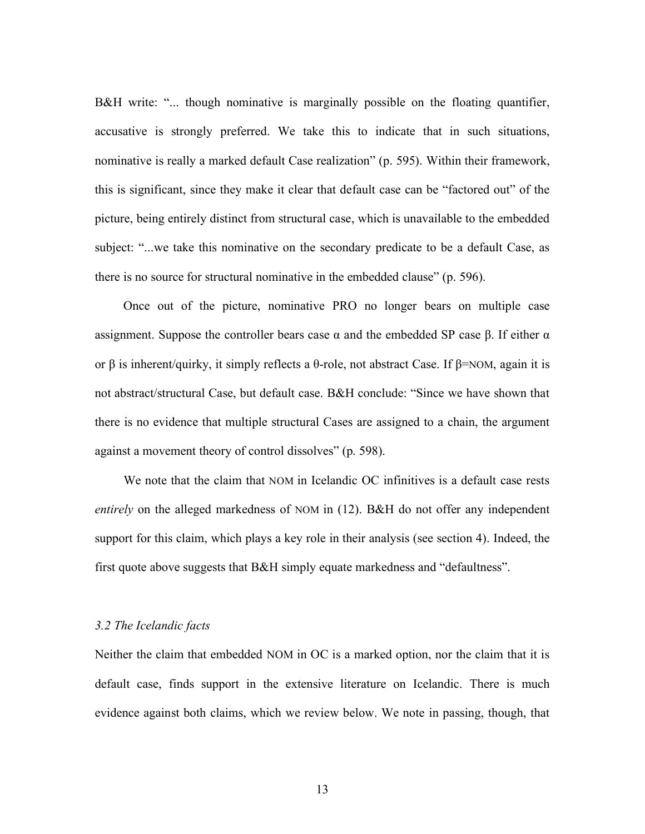B&H write: "... though nominative is marginally possible on the floating quantifier, accusative is strongly preferred. We take this to indicate that in such situations, nominative is really a marked default Case realization" (p. 595). Within their framework, this is significant, since they make it clear that default case can be "factored out" of the picture, being entirely distinct from structural case, which is unavailable to the embedded subject: "...we take this nominative on the secondary predicate to be a default Case, as there is no source for structural nominative in the embedded clause" (p. 596).

Once out of the picture, nominative PRO no longer bears on multiple case assignment. Suppose the controller bears case  $\alpha$  and the embedded SP case  $\beta$ . If either  $\alpha$ or β is inherent/quirky, it simply reflects a θ-role, not abstract Case. If β=NOM, again it is not abstract/structural Case, but default case. B&H conclude: "Since we have shown that there is no evidence that multiple structural Cases are assigned to a chain, the argument against a movement theory of control dissolves" (p. 598).

We note that the claim that NOM in Icelandic OC infinitives is a default case rests *entirely* on the alleged markedness of NOM in (12). B&H do not offer any independent support for this claim, which plays a key role in their analysis (see section 4). Indeed, the first quote above suggests that B&H simply equate markedness and "defaultness".

## *3.2 The Icelandic facts*

Neither the claim that embedded NOM in OC is a marked option, nor the claim that it is default case, finds support in the extensive literature on Icelandic. There is much evidence against both claims, which we review below. We note in passing, though, that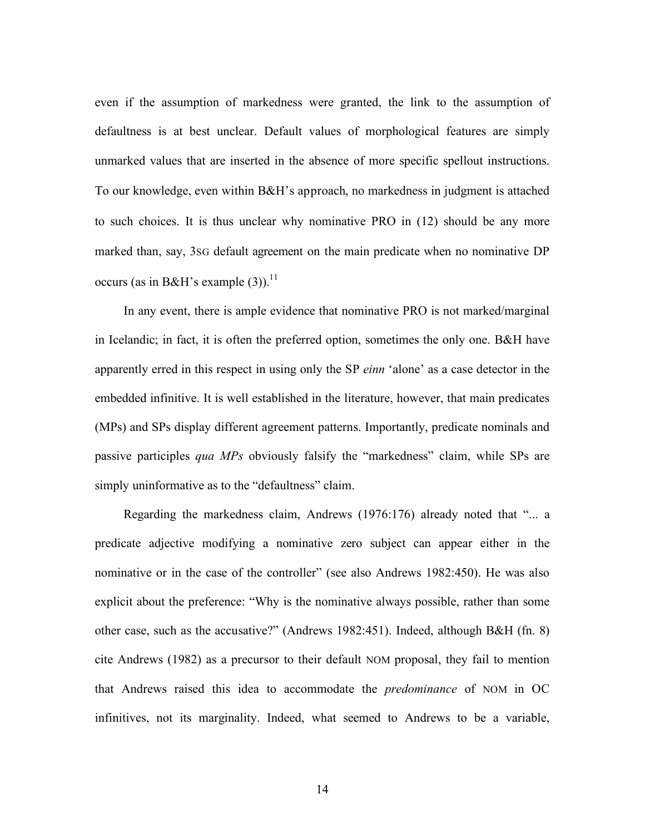even if the assumption of markedness were granted, the link to the assumption of defaultness is at best unclear. Default values of morphological features are simply unmarked values that are inserted in the absence of more specific spellout instructions. To our knowledge, even within B&H's approach, no markedness in judgment is attached to such choices. It is thus unclear why nominative PRO in (12) should be any more marked than, say, 3SG default agreement on the main predicate when no nominative DP occurs (as in B&H's example  $(3)$ ).<sup>11</sup>

In any event, there is ample evidence that nominative PRO is not marked/marginal in Icelandic; in fact, it is often the preferred option, sometimes the only one. B&H have apparently erred in this respect in using only the SP *einn* 'alone' as a case detector in the embedded infinitive. It is well established in the literature, however, that main predicates (MPs) and SPs display different agreement patterns. Importantly, predicate nominals and passive participles *qua MPs* obviously falsify the "markedness" claim, while SPs are simply uninformative as to the "defaultness" claim.

Regarding the markedness claim, Andrews (1976:176) already noted that "... a predicate adjective modifying a nominative zero subject can appear either in the nominative or in the case of the controller" (see also Andrews 1982:450). He was also explicit about the preference: "Why is the nominative always possible, rather than some other case, such as the accusative?" (Andrews 1982:451). Indeed, although B&H (fn. 8) cite Andrews (1982) as a precursor to their default NOM proposal, they fail to mention that Andrews raised this idea to accommodate the *predominance* of NOM in OC infinitives, not its marginality. Indeed, what seemed to Andrews to be a variable,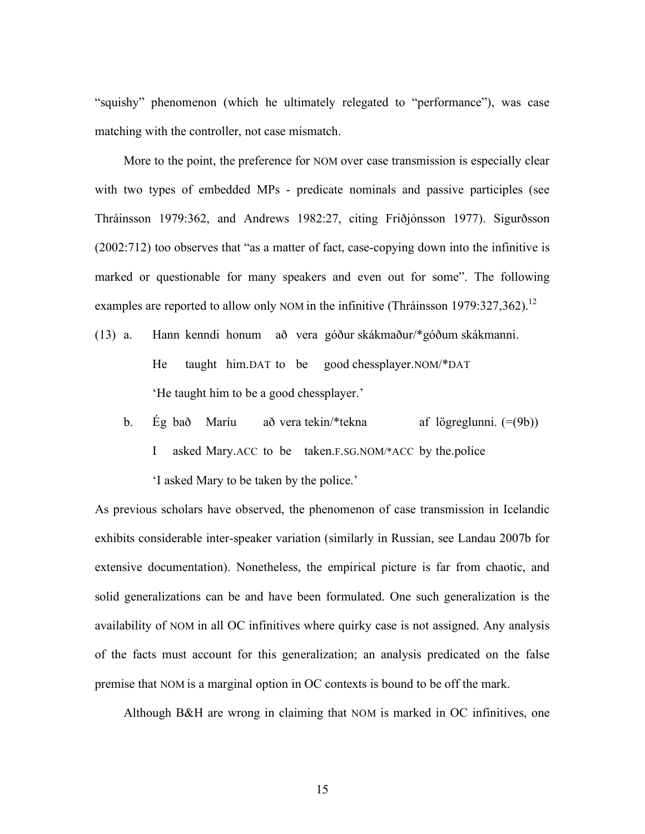"squishy" phenomenon (which he ultimately relegated to "performance"), was case matching with the controller, not case mismatch.

More to the point, the preference for NOM over case transmission is especially clear with two types of embedded MPs - predicate nominals and passive participles (see Thráinsson 1979:362, and Andrews 1982:27, citing Friðjónsson 1977). Sigurðsson (2002:712) too observes that "as a matter of fact, case-copying down into the infinitive is marked or questionable for many speakers and even out for some". The following examples are reported to allow only NOM in the infinitive (Thráinsson 1979:327,362).<sup>12</sup>

- (13) a. Hann kenndi honum að vera góður skákmaður/\*góðum skákmanni. He taught him.DAT to be good chessplayer.NOM/\*DAT 'He taught him to be a good chessplayer.'
	- b. Ég bað Maríu að vera tekin/\*tekna af lögreglunni. (=(9b)) I asked Mary.ACC to be taken.F.SG.NOM/\*ACC by the.police 'I asked Mary to be taken by the police.'

As previous scholars have observed, the phenomenon of case transmission in Icelandic exhibits considerable inter-speaker variation (similarly in Russian, see Landau 2007b for extensive documentation). Nonetheless, the empirical picture is far from chaotic, and solid generalizations can be and have been formulated. One such generalization is the availability of NOM in all OC infinitives where quirky case is not assigned. Any analysis of the facts must account for this generalization; an analysis predicated on the false premise that NOM is a marginal option in OC contexts is bound to be off the mark.

Although B&H are wrong in claiming that NOM is marked in OC infinitives, one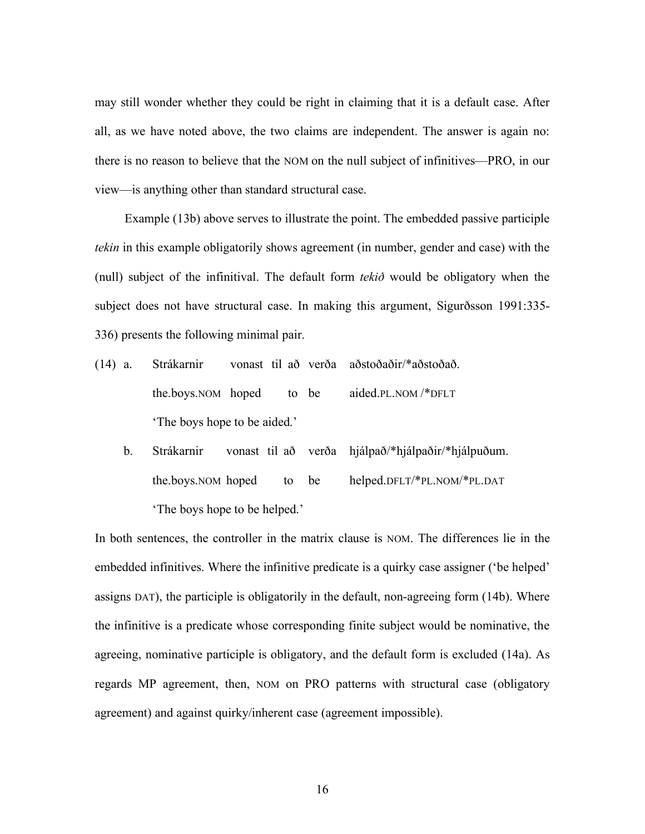may still wonder whether they could be right in claiming that it is a default case. After all, as we have noted above, the two claims are independent. The answer is again no: there is no reason to believe that the NOM on the null subject of infinitives—PRO, in our view—is anything other than standard structural case.

Example (13b) above serves to illustrate the point. The embedded passive participle *tekin* in this example obligatorily shows agreement (in number, gender and case) with the (null) subject of the infinitival. The default form *tekið* would be obligatory when the subject does not have structural case. In making this argument, Sigurðsson 1991:335- 336) presents the following minimal pair.

- (14) a. Strákarnir vonast til að verða aðstoðaðir/\*aðstoðað. the.boys.NOM hoped to be aided.PL.NOM /\*DFLT 'The boys hope to be aided.'
	- b. Strákarnir vonast til að verða hjálpað/\*hjálpaðir/\*hjálpuðum. the.boys.NOM hoped to be helped.DFLT/\*PL.NOM/\*PL.DAT 'The boys hope to be helped.'

In both sentences, the controller in the matrix clause is NOM. The differences lie in the embedded infinitives. Where the infinitive predicate is a quirky case assigner ('be helped' assigns DAT), the participle is obligatorily in the default, non-agreeing form (14b). Where the infinitive is a predicate whose corresponding finite subject would be nominative, the agreeing, nominative participle is obligatory, and the default form is excluded (14a). As regards MP agreement, then, NOM on PRO patterns with structural case (obligatory agreement) and against quirky/inherent case (agreement impossible).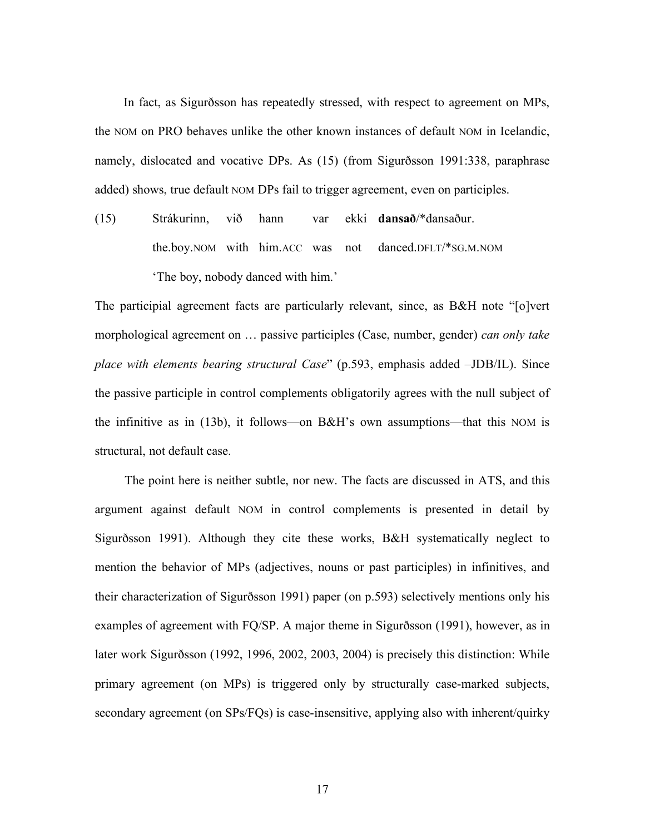In fact, as Sigurðsson has repeatedly stressed, with respect to agreement on MPs, the NOM on PRO behaves unlike the other known instances of default NOM in Icelandic, namely, dislocated and vocative DPs. As (15) (from Sigurðsson 1991:338, paraphrase added) shows, true default NOM DPs fail to trigger agreement, even on participles.

(15) Strákurinn, við hann var ekki **dansað**/\*dansaður. the.boy.NOM with him.ACC was not danced.DFLT/\*SG.M.NOM 'The boy, nobody danced with him.'

The participial agreement facts are particularly relevant, since, as B&H note "[o]vert morphological agreement on … passive participles (Case, number, gender) *can only take place with elements bearing structural Case*" (p.593, emphasis added –JDB/IL). Since the passive participle in control complements obligatorily agrees with the null subject of the infinitive as in (13b), it follows—on B&H's own assumptions—that this NOM is structural, not default case.

The point here is neither subtle, nor new. The facts are discussed in ATS, and this argument against default NOM in control complements is presented in detail by Sigurðsson 1991). Although they cite these works, B&H systematically neglect to mention the behavior of MPs (adjectives, nouns or past participles) in infinitives, and their characterization of Sigurðsson 1991) paper (on p.593) selectively mentions only his examples of agreement with FQ/SP. A major theme in Sigurðsson (1991), however, as in later work Sigurðsson (1992, 1996, 2002, 2003, 2004) is precisely this distinction: While primary agreement (on MPs) is triggered only by structurally case-marked subjects, secondary agreement (on SPs/FQs) is case-insensitive, applying also with inherent/quirky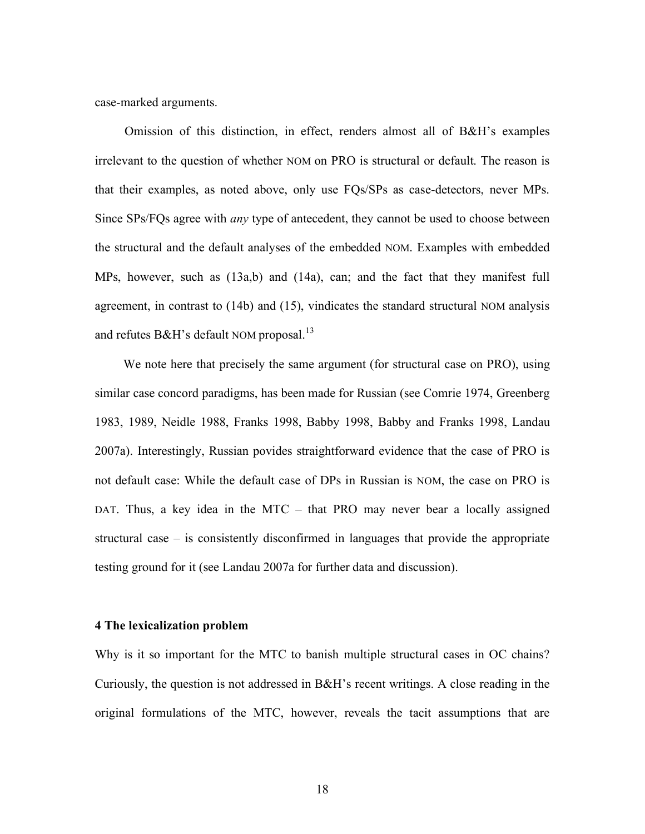case-marked arguments.

Omission of this distinction, in effect, renders almost all of B&H's examples irrelevant to the question of whether NOM on PRO is structural or default. The reason is that their examples, as noted above, only use FQs/SPs as case-detectors, never MPs. Since SPs/FQs agree with *any* type of antecedent, they cannot be used to choose between the structural and the default analyses of the embedded NOM. Examples with embedded MPs, however, such as (13a,b) and (14a), can; and the fact that they manifest full agreement, in contrast to (14b) and (15), vindicates the standard structural NOM analysis and refutes B&H's default NOM proposal.<sup>13</sup>

We note here that precisely the same argument (for structural case on PRO), using similar case concord paradigms, has been made for Russian (see Comrie 1974, Greenberg 1983, 1989, Neidle 1988, Franks 1998, Babby 1998, Babby and Franks 1998, Landau 2007a). Interestingly, Russian povides straightforward evidence that the case of PRO is not default case: While the default case of DPs in Russian is NOM, the case on PRO is DAT. Thus, a key idea in the MTC – that PRO may never bear a locally assigned structural case – is consistently disconfirmed in languages that provide the appropriate testing ground for it (see Landau 2007a for further data and discussion).

#### **4 The lexicalization problem**

Why is it so important for the MTC to banish multiple structural cases in OC chains? Curiously, the question is not addressed in B&H's recent writings. A close reading in the original formulations of the MTC, however, reveals the tacit assumptions that are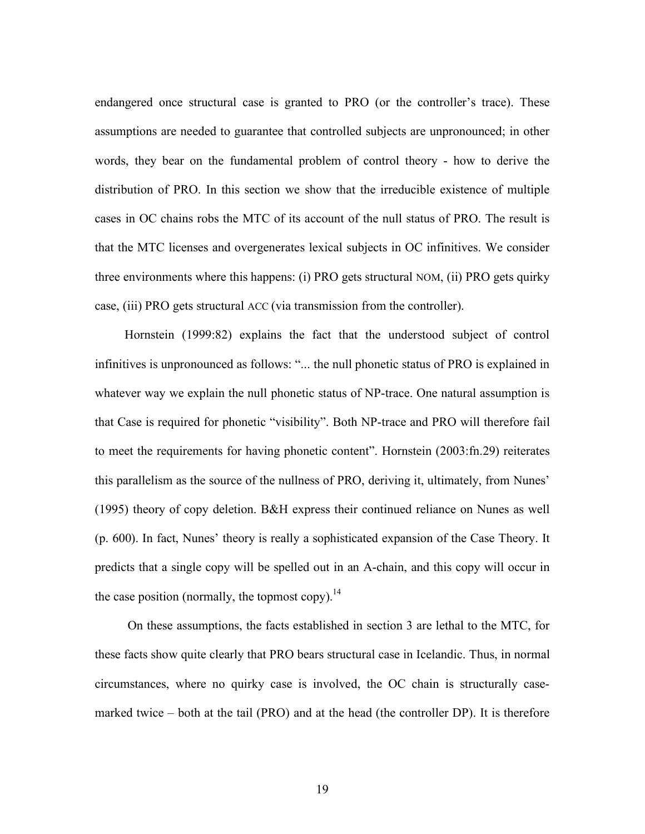endangered once structural case is granted to PRO (or the controller's trace). These assumptions are needed to guarantee that controlled subjects are unpronounced; in other words, they bear on the fundamental problem of control theory - how to derive the distribution of PRO. In this section we show that the irreducible existence of multiple cases in OC chains robs the MTC of its account of the null status of PRO. The result is that the MTC licenses and overgenerates lexical subjects in OC infinitives. We consider three environments where this happens: (i) PRO gets structural NOM, (ii) PRO gets quirky case, (iii) PRO gets structural ACC (via transmission from the controller).

Hornstein (1999:82) explains the fact that the understood subject of control infinitives is unpronounced as follows: "... the null phonetic status of PRO is explained in whatever way we explain the null phonetic status of NP-trace. One natural assumption is that Case is required for phonetic "visibility". Both NP-trace and PRO will therefore fail to meet the requirements for having phonetic content". Hornstein (2003:fn.29) reiterates this parallelism as the source of the nullness of PRO, deriving it, ultimately, from Nunes' (1995) theory of copy deletion. B&H express their continued reliance on Nunes as well (p. 600). In fact, Nunes' theory is really a sophisticated expansion of the Case Theory. It predicts that a single copy will be spelled out in an A-chain, and this copy will occur in the case position (normally, the topmost copy).<sup>14</sup>

On these assumptions, the facts established in section 3 are lethal to the MTC, for these facts show quite clearly that PRO bears structural case in Icelandic. Thus, in normal circumstances, where no quirky case is involved, the OC chain is structurally casemarked twice – both at the tail (PRO) and at the head (the controller DP). It is therefore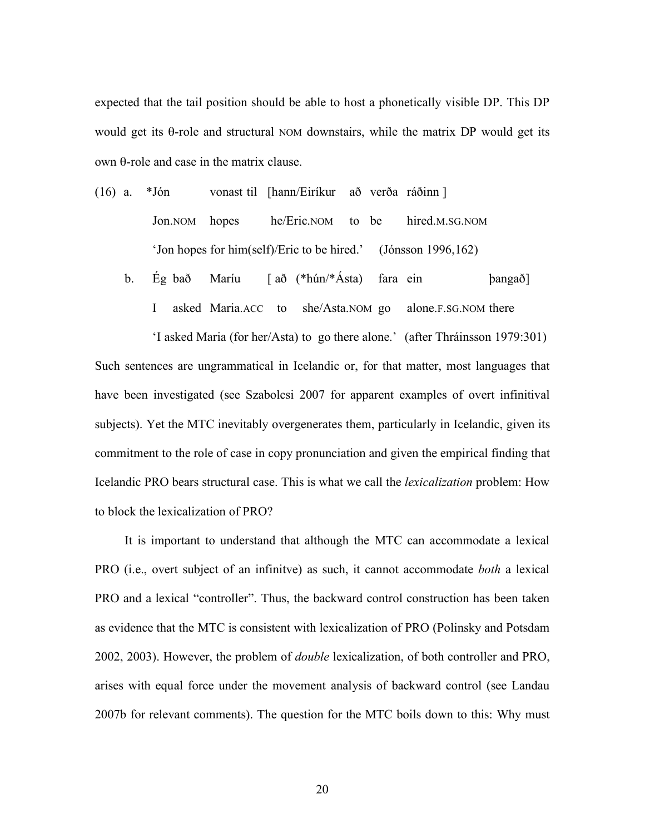expected that the tail position should be able to host a phonetically visible DP. This DP would get its θ-role and structural NOM downstairs, while the matrix DP would get its own θ-role and case in the matrix clause.

- (16) a. \*Jón vonast til [hann/Eiríkur að verða ráðinn ] Jon.NOM hopes he/Eric.NOM to be hired.M.SG.NOM 'Jon hopes for him(self)/Eric to be hired.' (Jónsson 1996,162)
	- b. Ég bað Maríu [ að (\*hún/\*Ásta) fara ein þangað] I asked Maria.ACC to she/Asta.NOM go alone.F.SG.NOM there

'I asked Maria (for her/Asta) to go there alone.' (after Thráinsson 1979:301) Such sentences are ungrammatical in Icelandic or, for that matter, most languages that have been investigated (see Szabolcsi 2007 for apparent examples of overt infinitival subjects). Yet the MTC inevitably overgenerates them, particularly in Icelandic, given its commitment to the role of case in copy pronunciation and given the empirical finding that Icelandic PRO bears structural case. This is what we call the *lexicalization* problem: How to block the lexicalization of PRO?

It is important to understand that although the MTC can accommodate a lexical PRO (i.e., overt subject of an infinitve) as such, it cannot accommodate *both* a lexical PRO and a lexical "controller". Thus, the backward control construction has been taken as evidence that the MTC is consistent with lexicalization of PRO (Polinsky and Potsdam 2002, 2003). However, the problem of *double* lexicalization, of both controller and PRO, arises with equal force under the movement analysis of backward control (see Landau 2007b for relevant comments). The question for the MTC boils down to this: Why must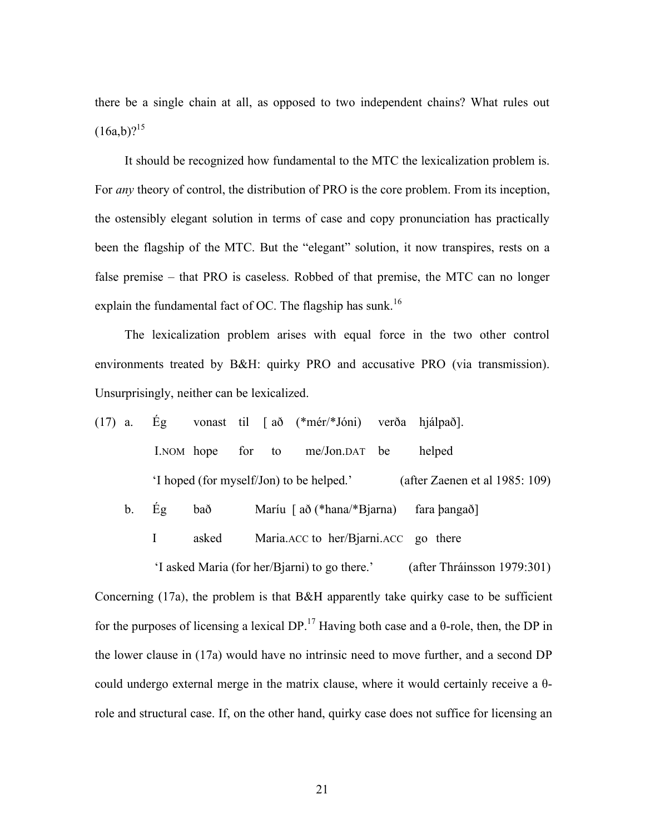there be a single chain at all, as opposed to two independent chains? What rules out  $(16a,b)?^{15}$ 

It should be recognized how fundamental to the MTC the lexicalization problem is. For *any* theory of control, the distribution of PRO is the core problem. From its inception, the ostensibly elegant solution in terms of case and copy pronunciation has practically been the flagship of the MTC. But the "elegant" solution, it now transpires, rests on a false premise – that PRO is caseless. Robbed of that premise, the MTC can no longer explain the fundamental fact of OC. The flagship has sunk.<sup>16</sup>

The lexicalization problem arises with equal force in the two other control environments treated by B&H: quirky PRO and accusative PRO (via transmission). Unsurprisingly, neither can be lexicalized.

| $(17)$ a. Eg |  |                                          |  |  |  | vonast til [að (*mér/*Jóni) verða hjálpað]. |        |
|--------------|--|------------------------------------------|--|--|--|---------------------------------------------|--------|
|              |  |                                          |  |  |  | I.NOM hope for to me/Jon.DAT be             | helped |
|              |  | 'I hoped (for myself/Jon) to be helped.' |  |  |  | (after Zaenen et al 1985: 109)              |        |

b. Ég bað Maríu [ að (\*hana/\*Bjarna) fara þangað]

I asked Maria.ACC to her/Bjarni.ACC go there

'I asked Maria (for her/Bjarni) to go there.' (after Thráinsson 1979:301) Concerning (17a), the problem is that B&H apparently take quirky case to be sufficient for the purposes of licensing a lexical DP.<sup>17</sup> Having both case and a  $\theta$ -role, then, the DP in the lower clause in (17a) would have no intrinsic need to move further, and a second DP could undergo external merge in the matrix clause, where it would certainly receive a  $θ$ role and structural case. If, on the other hand, quirky case does not suffice for licensing an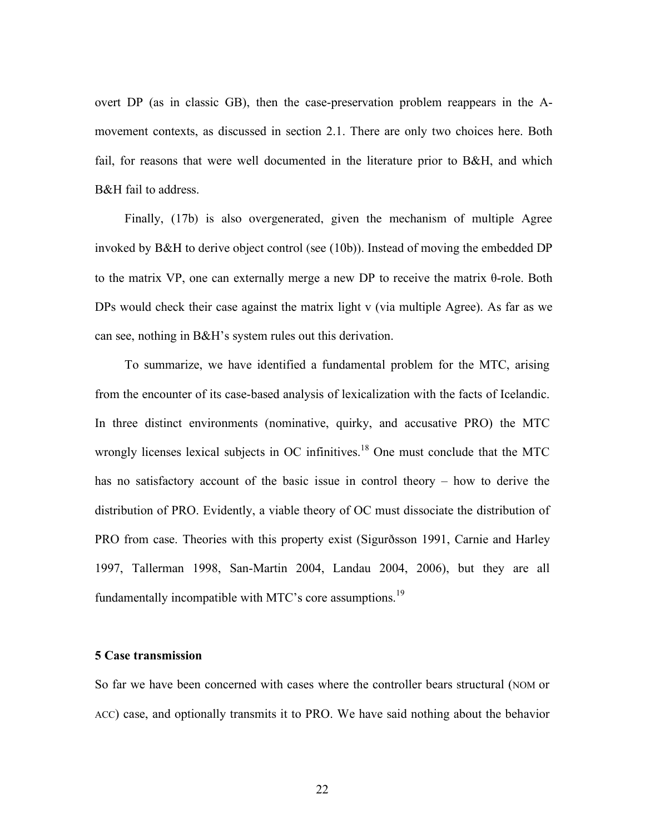overt DP (as in classic GB), then the case-preservation problem reappears in the Amovement contexts, as discussed in section 2.1. There are only two choices here. Both fail, for reasons that were well documented in the literature prior to B&H, and which B&H fail to address.

Finally, (17b) is also overgenerated, given the mechanism of multiple Agree invoked by B&H to derive object control (see (10b)). Instead of moving the embedded DP to the matrix VP, one can externally merge a new DP to receive the matrix θ-role. Both DPs would check their case against the matrix light v (via multiple Agree). As far as we can see, nothing in B&H's system rules out this derivation.

To summarize, we have identified a fundamental problem for the MTC, arising from the encounter of its case-based analysis of lexicalization with the facts of Icelandic. In three distinct environments (nominative, quirky, and accusative PRO) the MTC wrongly licenses lexical subjects in OC infinitives.<sup>18</sup> One must conclude that the MTC has no satisfactory account of the basic issue in control theory – how to derive the distribution of PRO. Evidently, a viable theory of OC must dissociate the distribution of PRO from case. Theories with this property exist (Sigurðsson 1991, Carnie and Harley 1997, Tallerman 1998, San-Martin 2004, Landau 2004, 2006), but they are all fundamentally incompatible with MTC's core assumptions.<sup>19</sup>

#### **5 Case transmission**

So far we have been concerned with cases where the controller bears structural (NOM or ACC) case, and optionally transmits it to PRO. We have said nothing about the behavior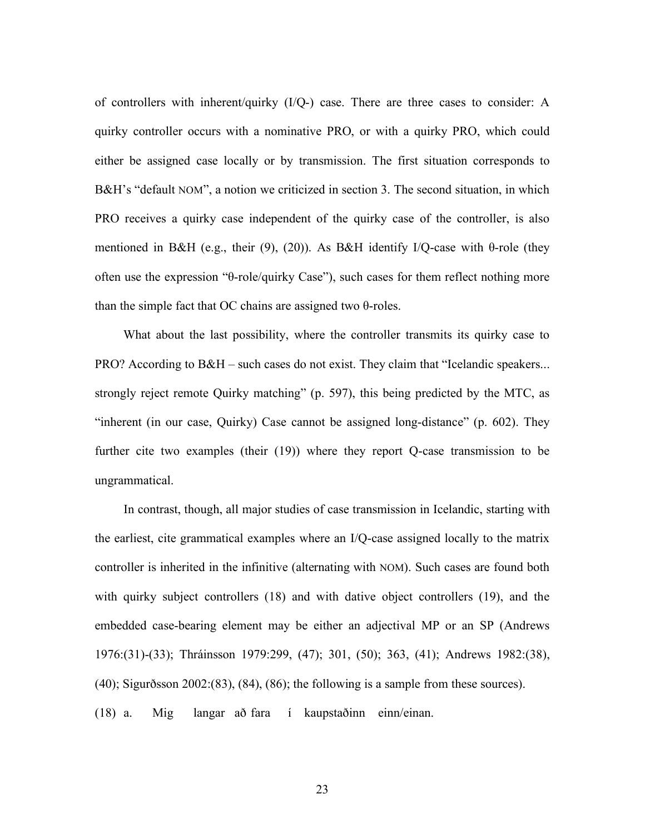of controllers with inherent/quirky (I/Q-) case. There are three cases to consider: A quirky controller occurs with a nominative PRO, or with a quirky PRO, which could either be assigned case locally or by transmission. The first situation corresponds to B&H's "default NOM", a notion we criticized in section 3. The second situation, in which PRO receives a quirky case independent of the quirky case of the controller, is also mentioned in B&H (e.g., their (9), (20)). As B&H identify I/Q-case with  $\theta$ -role (they often use the expression "θ-role/quirky Case"), such cases for them reflect nothing more than the simple fact that OC chains are assigned two θ-roles.

What about the last possibility, where the controller transmits its quirky case to PRO? According to B&H – such cases do not exist. They claim that "Icelandic speakers... strongly reject remote Quirky matching" (p. 597), this being predicted by the MTC, as "inherent (in our case, Quirky) Case cannot be assigned long-distance" (p. 602). They further cite two examples (their (19)) where they report Q-case transmission to be ungrammatical.

In contrast, though, all major studies of case transmission in Icelandic, starting with the earliest, cite grammatical examples where an I/Q-case assigned locally to the matrix controller is inherited in the infinitive (alternating with NOM). Such cases are found both with quirky subject controllers (18) and with dative object controllers (19), and the embedded case-bearing element may be either an adjectival MP or an SP (Andrews 1976:(31)-(33); Thráinsson 1979:299, (47); 301, (50); 363, (41); Andrews 1982:(38), (40); Sigurðsson 2002:(83), (84), (86); the following is a sample from these sources).

(18) a. Mig langar að fara í kaupstaðinn einn/einan.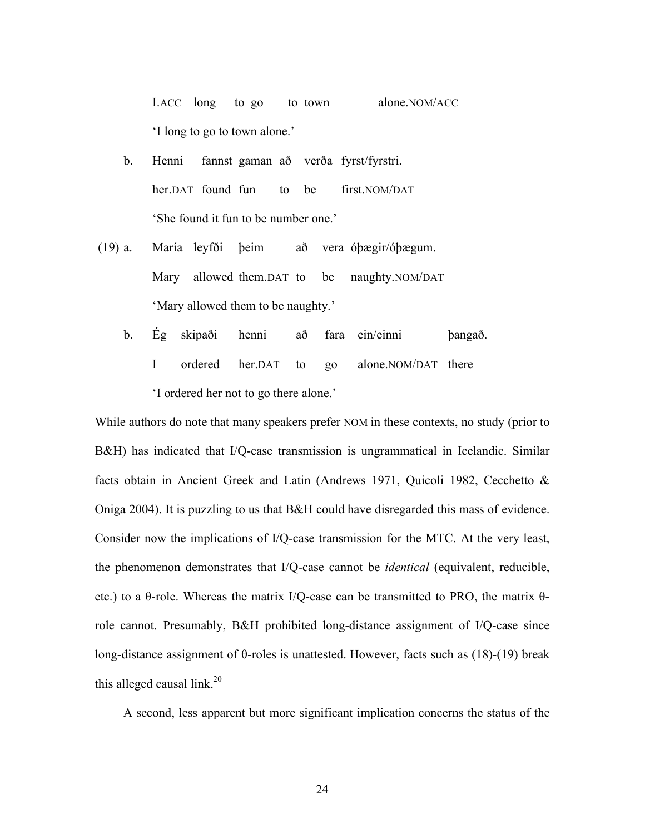I.ACC long to go to town alone.NOM/ACC 'I long to go to town alone.'

- b. Henni fannst gaman að verða fyrst/fyrstri. her.DAT found fun to be first.NOM/DAT 'She found it fun to be number one.'
- (19) a. María leyfði þeim að vera óþægir/óþægum. Mary allowed them.DAT to be naughty.NOM/DAT 'Mary allowed them to be naughty.'
	- b. Ég skipaði henni að fara ein/einni þangað. I ordered her.DAT to go alone.NOM/DAT there 'I ordered her not to go there alone.'

While authors do note that many speakers prefer NOM in these contexts, no study (prior to B&H) has indicated that I/Q-case transmission is ungrammatical in Icelandic. Similar facts obtain in Ancient Greek and Latin (Andrews 1971, Quicoli 1982, Cecchetto & Oniga 2004). It is puzzling to us that B&H could have disregarded this mass of evidence. Consider now the implications of I/Q-case transmission for the MTC. At the very least, the phenomenon demonstrates that I/Q-case cannot be *identical* (equivalent, reducible, etc.) to a θ-role. Whereas the matrix I/Q-case can be transmitted to PRO, the matrix θrole cannot. Presumably, B&H prohibited long-distance assignment of I/Q-case since long-distance assignment of θ-roles is unattested. However, facts such as (18)-(19) break this alleged causal link.<sup>20</sup>

A second, less apparent but more significant implication concerns the status of the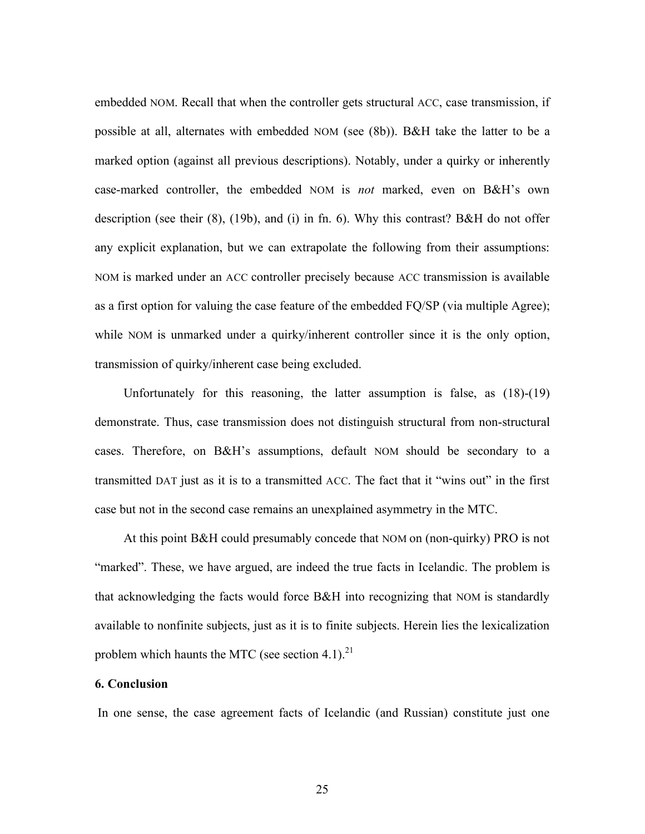embedded NOM. Recall that when the controller gets structural ACC, case transmission, if possible at all, alternates with embedded NOM (see (8b)). B&H take the latter to be a marked option (against all previous descriptions). Notably, under a quirky or inherently case-marked controller, the embedded NOM is *not* marked, even on B&H's own description (see their (8), (19b), and (i) in fn. 6). Why this contrast? B&H do not offer any explicit explanation, but we can extrapolate the following from their assumptions: NOM is marked under an ACC controller precisely because ACC transmission is available as a first option for valuing the case feature of the embedded FQ/SP (via multiple Agree); while NOM is unmarked under a quirky/inherent controller since it is the only option, transmission of quirky/inherent case being excluded.

Unfortunately for this reasoning, the latter assumption is false, as (18)-(19) demonstrate. Thus, case transmission does not distinguish structural from non-structural cases. Therefore, on B&H's assumptions, default NOM should be secondary to a transmitted DAT just as it is to a transmitted ACC. The fact that it "wins out" in the first case but not in the second case remains an unexplained asymmetry in the MTC.

At this point B&H could presumably concede that NOM on (non-quirky) PRO is not "marked". These, we have argued, are indeed the true facts in Icelandic. The problem is that acknowledging the facts would force B&H into recognizing that NOM is standardly available to nonfinite subjects, just as it is to finite subjects. Herein lies the lexicalization problem which haunts the MTC (see section 4.1).<sup>21</sup>

### **6. Conclusion**

In one sense, the case agreement facts of Icelandic (and Russian) constitute just one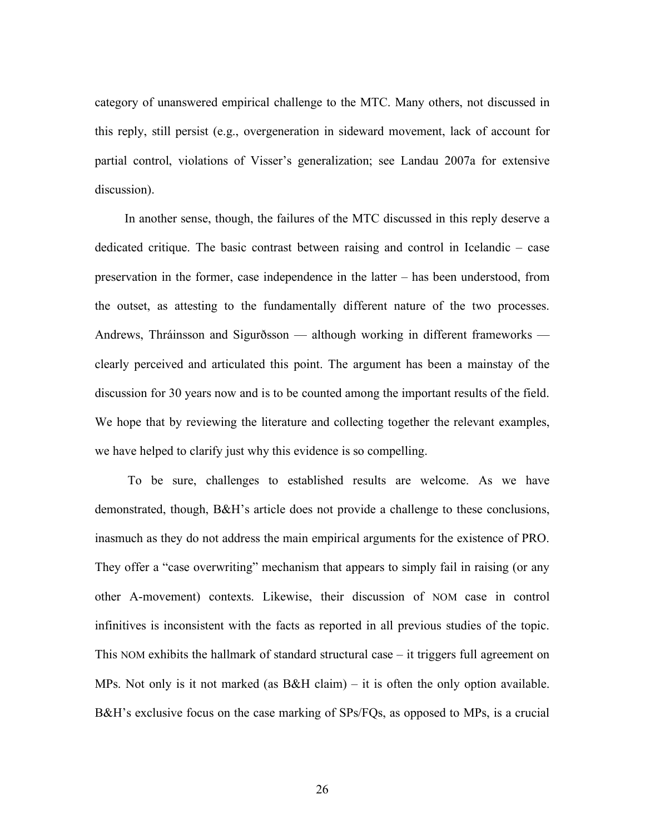category of unanswered empirical challenge to the MTC. Many others, not discussed in this reply, still persist (e.g., overgeneration in sideward movement, lack of account for partial control, violations of Visser's generalization; see Landau 2007a for extensive discussion).

In another sense, though, the failures of the MTC discussed in this reply deserve a dedicated critique. The basic contrast between raising and control in Icelandic – case preservation in the former, case independence in the latter – has been understood, from the outset, as attesting to the fundamentally different nature of the two processes. Andrews, Thráinsson and Sigurðsson — although working in different frameworks clearly perceived and articulated this point. The argument has been a mainstay of the discussion for 30 years now and is to be counted among the important results of the field. We hope that by reviewing the literature and collecting together the relevant examples, we have helped to clarify just why this evidence is so compelling.

To be sure, challenges to established results are welcome. As we have demonstrated, though, B&H's article does not provide a challenge to these conclusions, inasmuch as they do not address the main empirical arguments for the existence of PRO. They offer a "case overwriting" mechanism that appears to simply fail in raising (or any other A-movement) contexts. Likewise, their discussion of NOM case in control infinitives is inconsistent with the facts as reported in all previous studies of the topic. This NOM exhibits the hallmark of standard structural case – it triggers full agreement on MPs. Not only is it not marked (as  $B\&H$  claim) – it is often the only option available. B&H's exclusive focus on the case marking of SPs/FQs, as opposed to MPs, is a crucial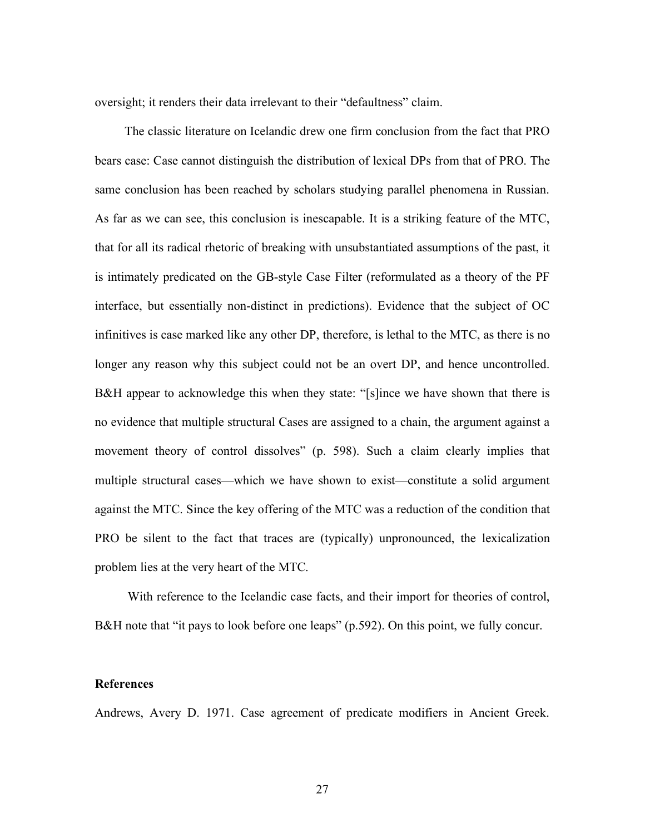oversight; it renders their data irrelevant to their "defaultness" claim.

The classic literature on Icelandic drew one firm conclusion from the fact that PRO bears case: Case cannot distinguish the distribution of lexical DPs from that of PRO. The same conclusion has been reached by scholars studying parallel phenomena in Russian. As far as we can see, this conclusion is inescapable. It is a striking feature of the MTC, that for all its radical rhetoric of breaking with unsubstantiated assumptions of the past, it is intimately predicated on the GB-style Case Filter (reformulated as a theory of the PF interface, but essentially non-distinct in predictions). Evidence that the subject of OC infinitives is case marked like any other DP, therefore, is lethal to the MTC, as there is no longer any reason why this subject could not be an overt DP, and hence uncontrolled. B&H appear to acknowledge this when they state: "[s]ince we have shown that there is no evidence that multiple structural Cases are assigned to a chain, the argument against a movement theory of control dissolves" (p. 598). Such a claim clearly implies that multiple structural cases—which we have shown to exist—constitute a solid argument against the MTC. Since the key offering of the MTC was a reduction of the condition that PRO be silent to the fact that traces are (typically) unpronounced, the lexicalization problem lies at the very heart of the MTC.

With reference to the Icelandic case facts, and their import for theories of control, B&H note that "it pays to look before one leaps" (p.592). On this point, we fully concur.

### **References**

Andrews, Avery D. 1971. Case agreement of predicate modifiers in Ancient Greek.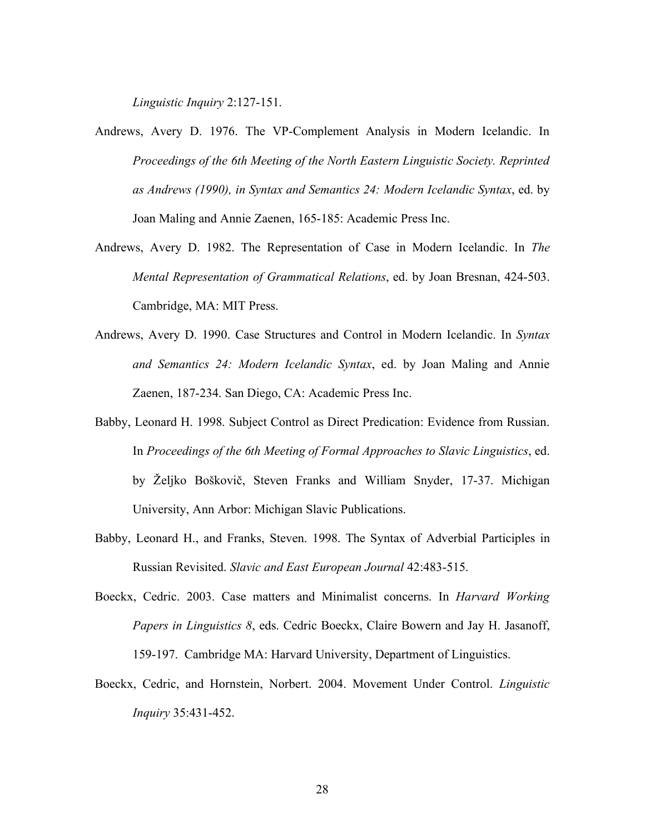*Linguistic Inquiry* 2:127-151.

- Andrews, Avery D. 1976. The VP-Complement Analysis in Modern Icelandic. In *Proceedings of the 6th Meeting of the North Eastern Linguistic Society. Reprinted as Andrews (1990), in Syntax and Semantics 24: Modern Icelandic Syntax*, ed. by Joan Maling and Annie Zaenen, 165-185: Academic Press Inc.
- Andrews, Avery D. 1982. The Representation of Case in Modern Icelandic. In *The Mental Representation of Grammatical Relations*, ed. by Joan Bresnan, 424-503. Cambridge, MA: MIT Press.
- Andrews, Avery D. 1990. Case Structures and Control in Modern Icelandic. In *Syntax and Semantics 24: Modern Icelandic Syntax*, ed. by Joan Maling and Annie Zaenen, 187-234. San Diego, CA: Academic Press Inc.
- Babby, Leonard H. 1998. Subject Control as Direct Predication: Evidence from Russian. In *Proceedings of the 6th Meeting of Formal Approaches to Slavic Linguistics*, ed. by Željko Boškovič, Steven Franks and William Snyder, 17-37. Michigan University, Ann Arbor: Michigan Slavic Publications.
- Babby, Leonard H., and Franks, Steven. 1998. The Syntax of Adverbial Participles in Russian Revisited. *Slavic and East European Journal* 42:483-515.
- Boeckx, Cedric. 2003. Case matters and Minimalist concerns. In *Harvard Working Papers in Linguistics 8*, eds. Cedric Boeckx, Claire Bowern and Jay H. Jasanoff, 159-197. Cambridge MA: Harvard University, Department of Linguistics.
- Boeckx, Cedric, and Hornstein, Norbert. 2004. Movement Under Control. *Linguistic Inquiry* 35:431-452.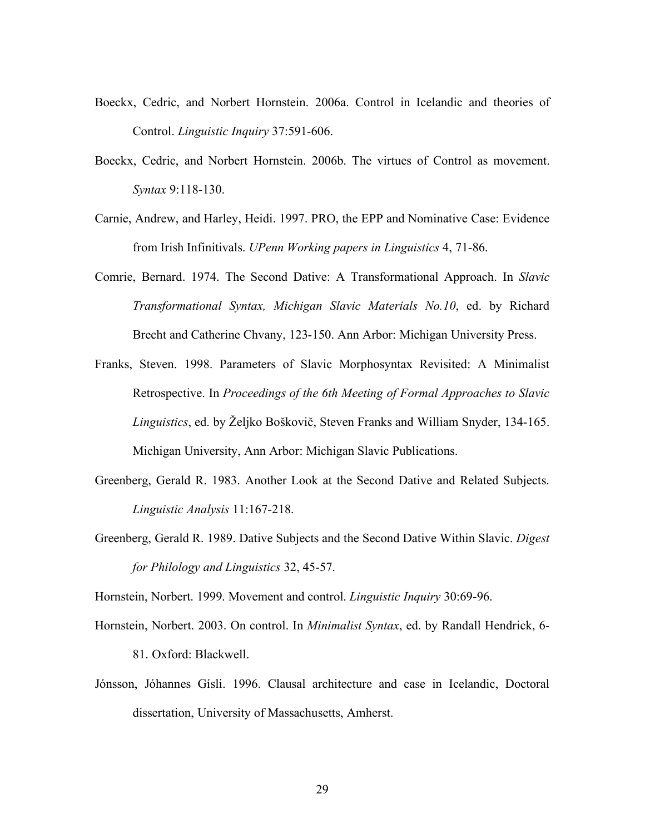- Boeckx, Cedric, and Norbert Hornstein. 2006a. Control in Icelandic and theories of Control. *Linguistic Inquiry* 37:591-606.
- Boeckx, Cedric, and Norbert Hornstein. 2006b. The virtues of Control as movement. *Syntax* 9:118-130.
- Carnie, Andrew, and Harley, Heidi. 1997. PRO, the EPP and Nominative Case: Evidence from Irish Infinitivals. *UPenn Working papers in Linguistics* 4, 71-86.
- Comrie, Bernard. 1974. The Second Dative: A Transformational Approach. In *Slavic Transformational Syntax, Michigan Slavic Materials No.10*, ed. by Richard Brecht and Catherine Chvany, 123-150. Ann Arbor: Michigan University Press.
- Franks, Steven. 1998. Parameters of Slavic Morphosyntax Revisited: A Minimalist Retrospective. In *Proceedings of the 6th Meeting of Formal Approaches to Slavic Linguistics*, ed. by Željko Boškovič, Steven Franks and William Snyder, 134-165. Michigan University, Ann Arbor: Michigan Slavic Publications.
- Greenberg, Gerald R. 1983. Another Look at the Second Dative and Related Subjects. *Linguistic Analysis* 11:167-218.
- Greenberg, Gerald R. 1989. Dative Subjects and the Second Dative Within Slavic. *Digest for Philology and Linguistics* 32, 45-57.

Hornstein, Norbert. 1999. Movement and control. *Linguistic Inquiry* 30:69-96.

Hornstein, Norbert. 2003. On control. In *Minimalist Syntax*, ed. by Randall Hendrick, 6-

81. Oxford: Blackwell.

Jónsson, Jóhannes Gísli. 1996. Clausal architecture and case in Icelandic, Doctoral dissertation, University of Massachusetts, Amherst.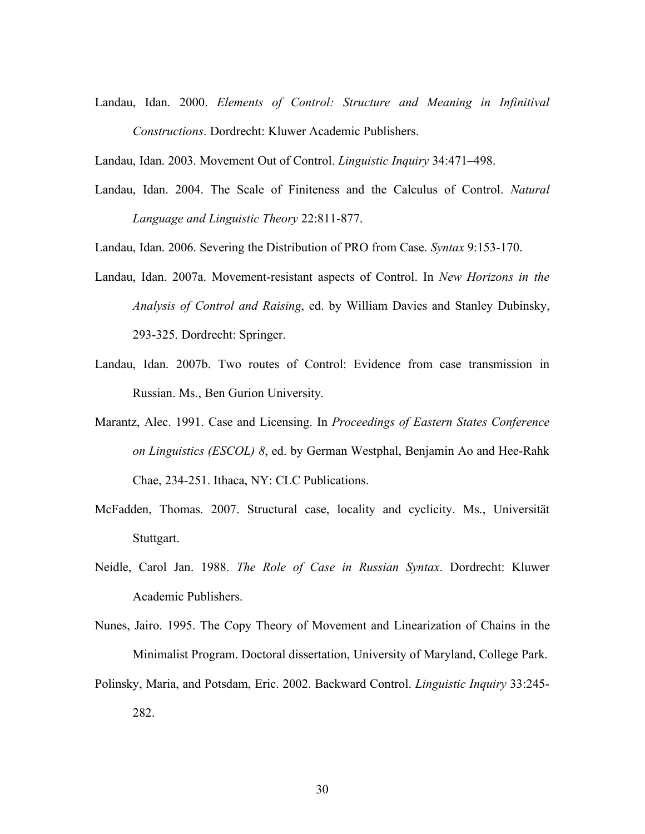Landau, Idan. 2000. *Elements of Control: Structure and Meaning in Infinitival Constructions*. Dordrecht: Kluwer Academic Publishers.

Landau, Idan. 2003. Movement Out of Control. *Linguistic Inquiry* 34:471–498.

Landau, Idan. 2004. The Scale of Finiteness and the Calculus of Control. *Natural Language and Linguistic Theory* 22:811-877.

Landau, Idan. 2006. Severing the Distribution of PRO from Case. *Syntax* 9:153-170.

- Landau, Idan. 2007a. Movement-resistant aspects of Control. In *New Horizons in the Analysis of Control and Raising*, ed. by William Davies and Stanley Dubinsky, 293-325. Dordrecht: Springer.
- Landau, Idan. 2007b. Two routes of Control: Evidence from case transmission in Russian. Ms., Ben Gurion University.
- Marantz, Alec. 1991. Case and Licensing. In *Proceedings of Eastern States Conference on Linguistics (ESCOL) 8*, ed. by German Westphal, Benjamin Ao and Hee-Rahk Chae, 234-251. Ithaca, NY: CLC Publications.
- McFadden, Thomas. 2007. Structural case, locality and cyclicity. Ms., Universität Stuttgart.
- Neidle, Carol Jan. 1988. *The Role of Case in Russian Syntax*. Dordrecht: Kluwer Academic Publishers.
- Nunes, Jairo. 1995. The Copy Theory of Movement and Linearization of Chains in the Minimalist Program. Doctoral dissertation, University of Maryland, College Park.
- Polinsky, Maria, and Potsdam, Eric. 2002. Backward Control. *Linguistic Inquiry* 33:245- 282.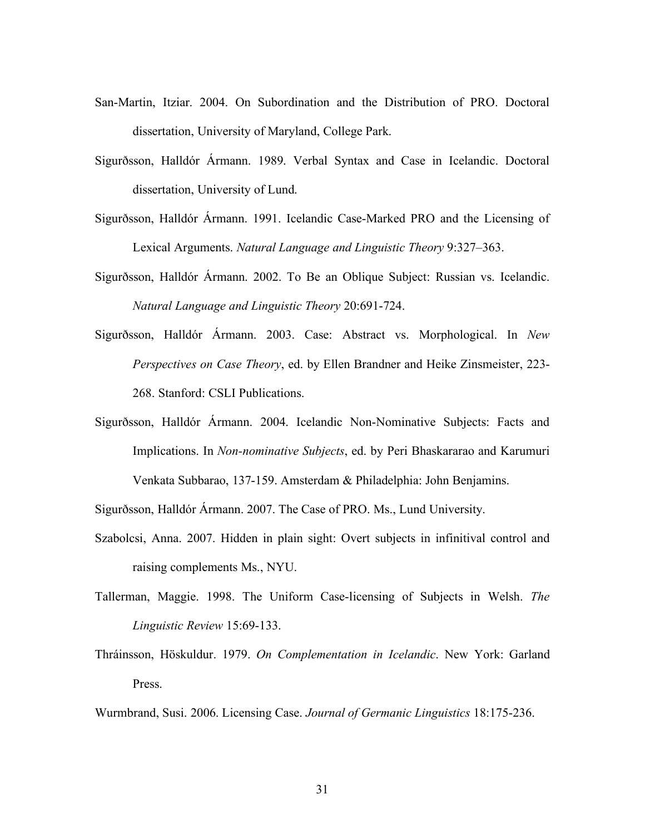- San-Martin, Itziar. 2004. On Subordination and the Distribution of PRO. Doctoral dissertation, University of Maryland, College Park.
- Sigurðsson, Halldór Ármann. 1989. Verbal Syntax and Case in Icelandic. Doctoral dissertation, University of Lund.
- Sigurðsson, Halldór Ármann. 1991. Icelandic Case-Marked PRO and the Licensing of Lexical Arguments. *Natural Language and Linguistic Theory* 9:327–363.
- Sigurðsson, Halldór Ármann. 2002. To Be an Oblique Subject: Russian vs. Icelandic. *Natural Language and Linguistic Theory* 20:691-724.
- Sigurðsson, Halldór Ármann. 2003. Case: Abstract vs. Morphological. In *New Perspectives on Case Theory*, ed. by Ellen Brandner and Heike Zinsmeister, 223- 268. Stanford: CSLI Publications.
- Sigurðsson, Halldór Ármann. 2004. Icelandic Non-Nominative Subjects: Facts and Implications. In *Non-nominative Subjects*, ed. by Peri Bhaskararao and Karumuri Venkata Subbarao, 137-159. Amsterdam & Philadelphia: John Benjamins.

Sigurðsson, Halldór Ármann. 2007. The Case of PRO. Ms., Lund University.

- Szabolcsi, Anna. 2007. Hidden in plain sight: Overt subjects in infinitival control and raising complements Ms., NYU.
- Tallerman, Maggie. 1998. The Uniform Case-licensing of Subjects in Welsh. *The Linguistic Review* 15:69-133.
- Thráinsson, Höskuldur. 1979. *On Complementation in Icelandic*. New York: Garland Press.

Wurmbrand, Susi. 2006. Licensing Case. *Journal of Germanic Linguistics* 18:175-236.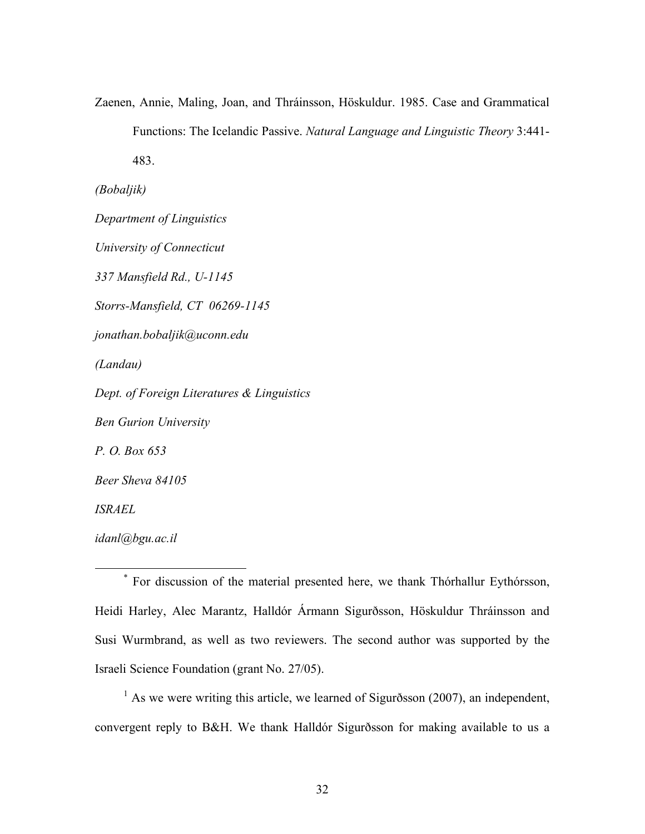Zaenen, Annie, Maling, Joan, and Thráinsson, Höskuldur. 1985. Case and Grammatical Functions: The Icelandic Passive. *Natural Language and Linguistic Theory* 3:441- 483.

*(Bobaljik)*

*Department of Linguistics University of Connecticut 337 Mansfield Rd., U-1145 Storrs-Mansfield, CT 06269-1145 jonathan.bobaljik@uconn.edu (Landau) Dept. of Foreign Literatures & Linguistics Ben Gurion University P. O. Box 653 Beer Sheva 84105 ISRAEL idanl@bgu.ac.il*

 \* For discussion of the material presented here, we thank Thórhallur Eythórsson, Heidi Harley, Alec Marantz, Halldór Ármann Sigurðsson, Höskuldur Thráinsson and Susi Wurmbrand, as well as two reviewers. The second author was supported by the Israeli Science Foundation (grant No. 27/05).

 $<sup>1</sup>$  As we were writing this article, we learned of Sigurðsson (2007), an independent,</sup> convergent reply to B&H. We thank Halldór Sigurðsson for making available to us a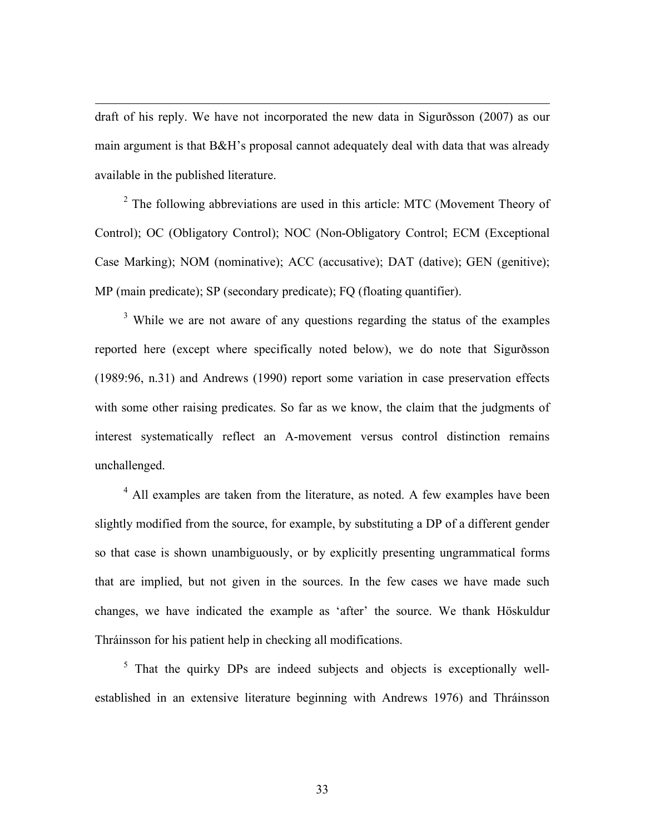draft of his reply. We have not incorporated the new data in Sigurðsson (2007) as our main argument is that B&H's proposal cannot adequately deal with data that was already available in the published literature.

 $\overline{a}$ 

 $2^{\circ}$  The following abbreviations are used in this article: MTC (Movement Theory of Control); OC (Obligatory Control); NOC (Non-Obligatory Control; ECM (Exceptional Case Marking); NOM (nominative); ACC (accusative); DAT (dative); GEN (genitive); MP (main predicate); SP (secondary predicate); FQ (floating quantifier).

<sup>3</sup> While we are not aware of any questions regarding the status of the examples reported here (except where specifically noted below), we do note that Sigurðsson (1989:96, n.31) and Andrews (1990) report some variation in case preservation effects with some other raising predicates. So far as we know, the claim that the judgments of interest systematically reflect an A-movement versus control distinction remains unchallenged.

 $4$  All examples are taken from the literature, as noted. A few examples have been slightly modified from the source, for example, by substituting a DP of a different gender so that case is shown unambiguously, or by explicitly presenting ungrammatical forms that are implied, but not given in the sources. In the few cases we have made such changes, we have indicated the example as 'after' the source. We thank Höskuldur Thráinsson for his patient help in checking all modifications.

<sup>5</sup> That the quirky DPs are indeed subjects and objects is exceptionally wellestablished in an extensive literature beginning with Andrews 1976) and Thráinsson

33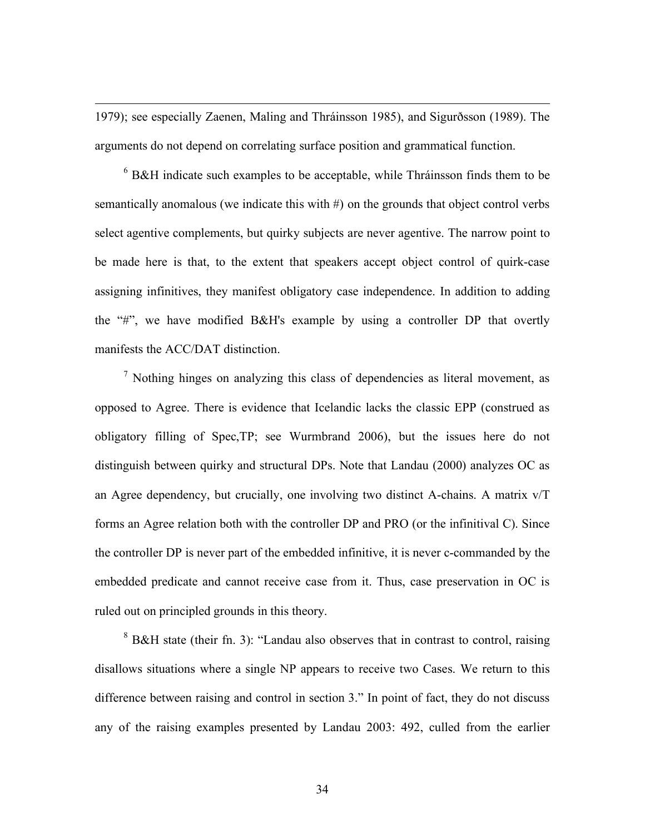1979); see especially Zaenen, Maling and Thráinsson 1985), and Sigurðsson (1989). The arguments do not depend on correlating surface position and grammatical function.

 $\overline{a}$ 

 $6$  B&H indicate such examples to be acceptable, while Thráinsson finds them to be semantically anomalous (we indicate this with #) on the grounds that object control verbs select agentive complements, but quirky subjects are never agentive. The narrow point to be made here is that, to the extent that speakers accept object control of quirk-case assigning infinitives, they manifest obligatory case independence. In addition to adding the "#", we have modified B&H's example by using a controller DP that overtly manifests the ACC/DAT distinction.

 $<sup>7</sup>$  Nothing hinges on analyzing this class of dependencies as literal movement, as</sup> opposed to Agree. There is evidence that Icelandic lacks the classic EPP (construed as obligatory filling of Spec,TP; see Wurmbrand 2006), but the issues here do not distinguish between quirky and structural DPs. Note that Landau (2000) analyzes OC as an Agree dependency, but crucially, one involving two distinct A-chains. A matrix v/T forms an Agree relation both with the controller DP and PRO (or the infinitival C). Since the controller DP is never part of the embedded infinitive, it is never c-commanded by the embedded predicate and cannot receive case from it. Thus, case preservation in OC is ruled out on principled grounds in this theory.

<sup>8</sup> B&H state (their fn. 3): "Landau also observes that in contrast to control, raising disallows situations where a single NP appears to receive two Cases. We return to this difference between raising and control in section 3." In point of fact, they do not discuss any of the raising examples presented by Landau 2003: 492, culled from the earlier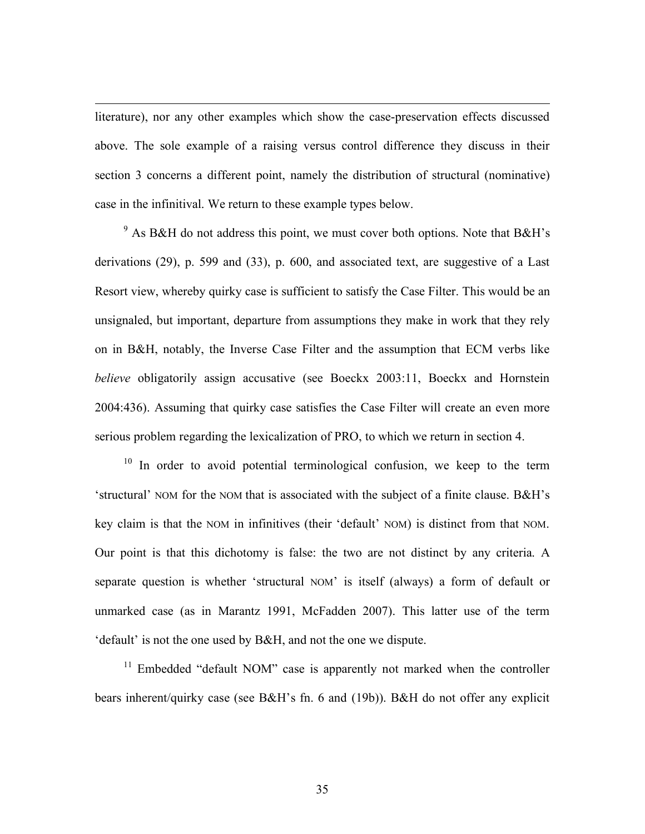literature), nor any other examples which show the case-preservation effects discussed above. The sole example of a raising versus control difference they discuss in their section 3 concerns a different point, namely the distribution of structural (nominative) case in the infinitival. We return to these example types below.

 $\overline{a}$ 

 $9$  As B&H do not address this point, we must cover both options. Note that B&H's derivations (29), p. 599 and (33), p. 600, and associated text, are suggestive of a Last Resort view, whereby quirky case is sufficient to satisfy the Case Filter. This would be an unsignaled, but important, departure from assumptions they make in work that they rely on in B&H, notably, the Inverse Case Filter and the assumption that ECM verbs like *believe* obligatorily assign accusative (see Boeckx 2003:11, Boeckx and Hornstein 2004:436). Assuming that quirky case satisfies the Case Filter will create an even more serious problem regarding the lexicalization of PRO, to which we return in section 4.

 $10$  In order to avoid potential terminological confusion, we keep to the term 'structural' NOM for the NOM that is associated with the subject of a finite clause. B&H's key claim is that the NOM in infinitives (their 'default' NOM) is distinct from that NOM. Our point is that this dichotomy is false: the two are not distinct by any criteria. A separate question is whether 'structural NOM' is itself (always) a form of default or unmarked case (as in Marantz 1991, McFadden 2007). This latter use of the term 'default' is not the one used by B&H, and not the one we dispute.

 $11$  Embedded "default NOM" case is apparently not marked when the controller bears inherent/quirky case (see B&H's fn. 6 and (19b)). B&H do not offer any explicit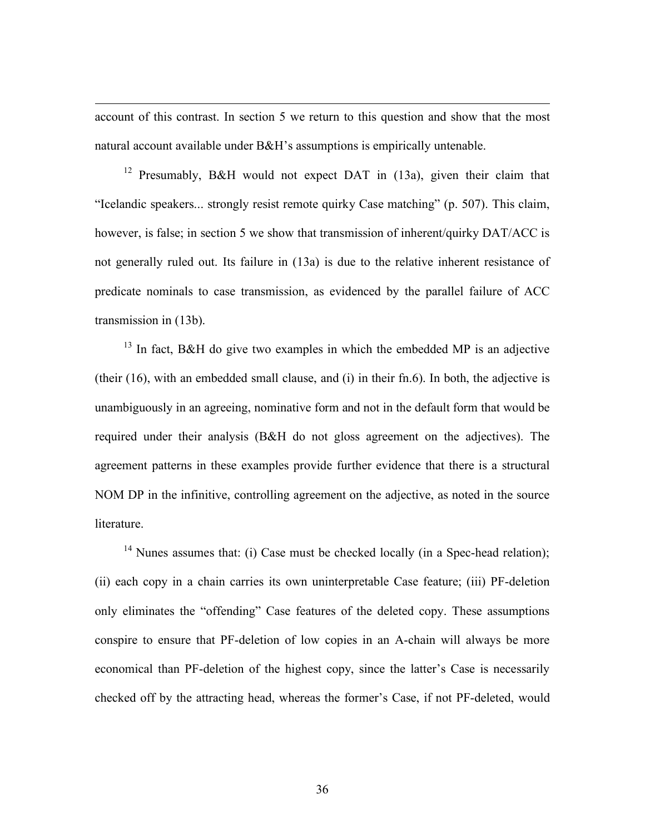account of this contrast. In section 5 we return to this question and show that the most natural account available under B&H's assumptions is empirically untenable.

 $\overline{a}$ 

<sup>12</sup> Presumably, B&H would not expect DAT in (13a), given their claim that "Icelandic speakers... strongly resist remote quirky Case matching" (p. 507). This claim, however, is false; in section 5 we show that transmission of inherent/quirky DAT/ACC is not generally ruled out. Its failure in (13a) is due to the relative inherent resistance of predicate nominals to case transmission, as evidenced by the parallel failure of ACC transmission in (13b).

 $13$  In fact, B&H do give two examples in which the embedded MP is an adjective (their (16), with an embedded small clause, and (i) in their fn.6). In both, the adjective is unambiguously in an agreeing, nominative form and not in the default form that would be required under their analysis (B&H do not gloss agreement on the adjectives). The agreement patterns in these examples provide further evidence that there is a structural NOM DP in the infinitive, controlling agreement on the adjective, as noted in the source literature.

<sup>14</sup> Nunes assumes that: (i) Case must be checked locally (in a Spec-head relation); (ii) each copy in a chain carries its own uninterpretable Case feature; (iii) PF-deletion only eliminates the "offending" Case features of the deleted copy. These assumptions conspire to ensure that PF-deletion of low copies in an A-chain will always be more economical than PF-deletion of the highest copy, since the latter's Case is necessarily checked off by the attracting head, whereas the former's Case, if not PF-deleted, would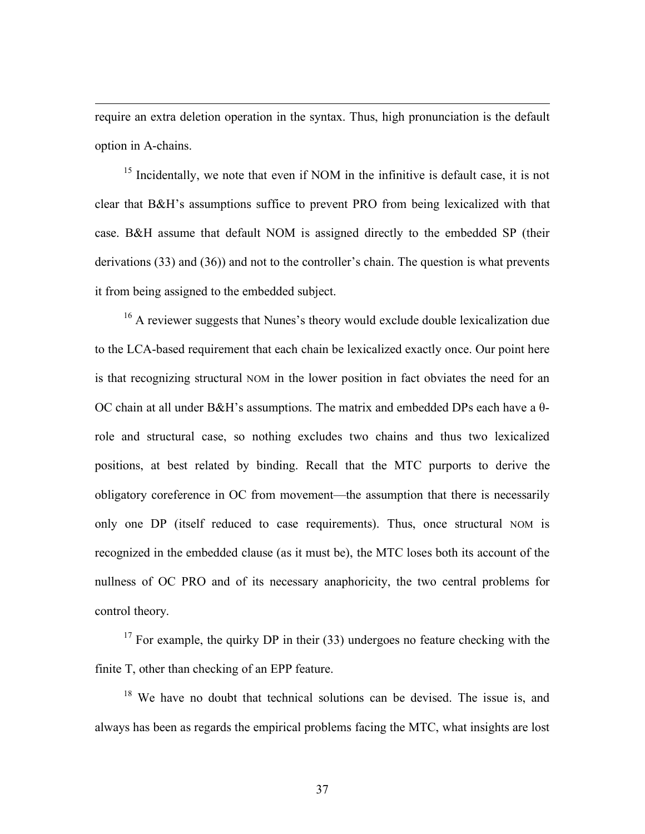require an extra deletion operation in the syntax. Thus, high pronunciation is the default option in A-chains.

 $\overline{a}$ 

<sup>15</sup> Incidentally, we note that even if NOM in the infinitive is default case, it is not clear that B&H's assumptions suffice to prevent PRO from being lexicalized with that case. B&H assume that default NOM is assigned directly to the embedded SP (their derivations (33) and (36)) and not to the controller's chain. The question is what prevents it from being assigned to the embedded subject.

<sup>16</sup> A reviewer suggests that Nunes's theory would exclude double lexicalization due to the LCA-based requirement that each chain be lexicalized exactly once. Our point here is that recognizing structural NOM in the lower position in fact obviates the need for an OC chain at all under B&H's assumptions. The matrix and embedded DPs each have a θrole and structural case, so nothing excludes two chains and thus two lexicalized positions, at best related by binding. Recall that the MTC purports to derive the obligatory coreference in OC from movement—the assumption that there is necessarily only one DP (itself reduced to case requirements). Thus, once structural NOM is recognized in the embedded clause (as it must be), the MTC loses both its account of the nullness of OC PRO and of its necessary anaphoricity, the two central problems for control theory.

 $17$  For example, the quirky DP in their (33) undergoes no feature checking with the finite T, other than checking of an EPP feature.

<sup>18</sup> We have no doubt that technical solutions can be devised. The issue is, and always has been as regards the empirical problems facing the MTC, what insights are lost

37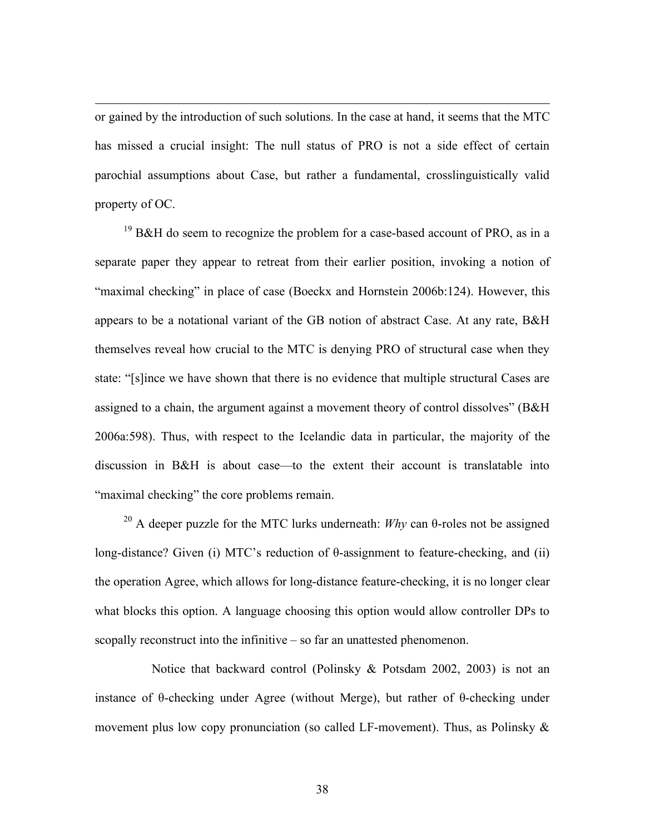or gained by the introduction of such solutions. In the case at hand, it seems that the MTC has missed a crucial insight: The null status of PRO is not a side effect of certain parochial assumptions about Case, but rather a fundamental, crosslinguistically valid property of OC.

 $\overline{a}$ 

 $19$  B&H do seem to recognize the problem for a case-based account of PRO, as in a separate paper they appear to retreat from their earlier position, invoking a notion of "maximal checking" in place of case (Boeckx and Hornstein 2006b:124). However, this appears to be a notational variant of the GB notion of abstract Case. At any rate, B&H themselves reveal how crucial to the MTC is denying PRO of structural case when they state: "[s]ince we have shown that there is no evidence that multiple structural Cases are assigned to a chain, the argument against a movement theory of control dissolves" (B&H 2006a:598). Thus, with respect to the Icelandic data in particular, the majority of the discussion in B&H is about case—to the extent their account is translatable into "maximal checking" the core problems remain.

<sup>20</sup> A deeper puzzle for the MTC lurks underneath: *Why* can θ-roles not be assigned long-distance? Given (i) MTC's reduction of θ-assignment to feature-checking, and (ii) the operation Agree, which allows for long-distance feature-checking, it is no longer clear what blocks this option. A language choosing this option would allow controller DPs to scopally reconstruct into the infinitive – so far an unattested phenomenon.

Notice that backward control (Polinsky & Potsdam 2002, 2003) is not an instance of θ-checking under Agree (without Merge), but rather of θ-checking under movement plus low copy pronunciation (so called LF-movement). Thus, as Polinsky  $\&$